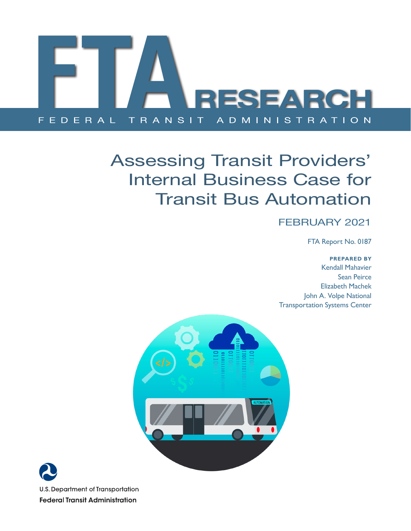

## Assessing Transit Providers' Internal Business Case for Transit Bus Automation

#### FEBRUARY 2021

FTA Report No. 0187

**PREPARED BY**

Kendall Mahavier Sean Peirce Elizabeth Machek John A. Volpe National Transportation Systems Center



**U.S. Department of Transportation Federal Transit Administration**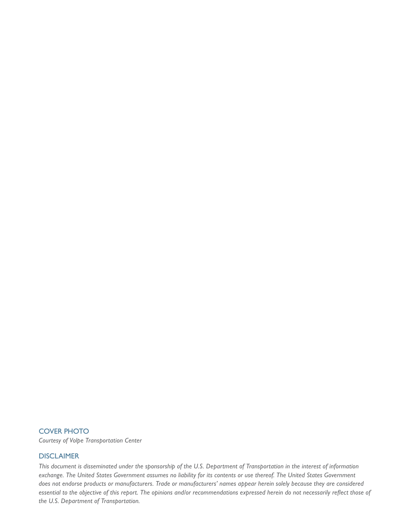#### COVER PHOTO

*Courtesy of Volpe Transportation Center* 

#### DISCLAIMER

*This document is disseminated under the sponsorship of the U.S. Department of Transportation in the interest of information exchange. The United States Government assumes no liability for its contents or use thereof. The United States Government does not endorse products or manufacturers. Trade or manufacturers' names appear herein solely because they are considered essential to the objective of this report. The opinions and/or recommendations expressed herein do not necessarily reflect those of the U.S. Department of Transportation.*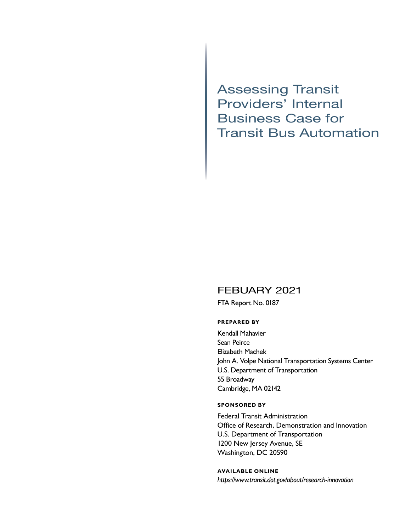Assessing Transit Providers' Internal Business Case for Transit Bus Automation

#### FEBUARY 2021

FTA Report No. 0187

#### **PREPARED BY**

Kendall Mahavier Sean Peirce Elizabeth Machek John A. Volpe National Transportation Systems Center U.S. Department of Transportation 55 Broadway Cambridge, MA 02142

#### **SPONSORED BY**

Federal Transit Administration Office of Research, Demonstration and Innovation U.S. Department of Transportation 1200 New Jersey Avenue, SE Washington, DC 20590

#### **AVAILABLE ONLINE**

*<https://www.transit.dot.gov/about/research>-innovation*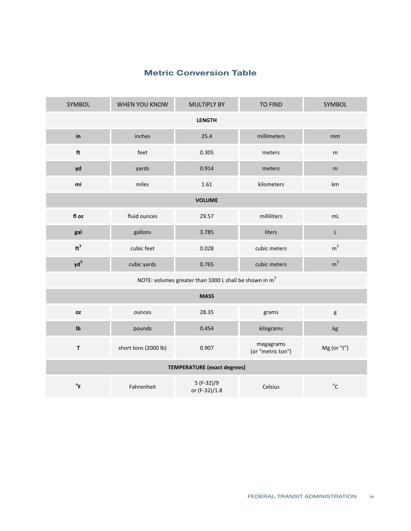### Metric Conversion Table **Metric Conversion Table Metric Conversion Table**

| SYMBOL                                                             | WHEN YOU KNOW        | <b>MULTIPLY BY</b>           | <b>TO FIND</b>                 | SYMBOL         |  |
|--------------------------------------------------------------------|----------------------|------------------------------|--------------------------------|----------------|--|
| <b>LENGTH</b>                                                      |                      |                              |                                |                |  |
| in                                                                 | inches               | 25.4                         | millimeters                    | mm             |  |
| ft                                                                 | feet                 | 0.305                        | meters                         | m              |  |
| yd                                                                 | yards                | 0.914                        | meters                         | m              |  |
| mi                                                                 | miles                | 1.61                         | kilometers                     | km             |  |
|                                                                    |                      | <b>VOLUME</b>                |                                |                |  |
| fl oz                                                              | fluid ounces         | 29.57                        | milliliters                    | mL             |  |
| gal                                                                | gallons              | 3.785                        | liters                         | L              |  |
| ft <sup>3</sup>                                                    | cubic feet           | 0.028                        | cubic meters                   | m <sup>3</sup> |  |
| $yd^3$                                                             | cubic yards          | 0.765                        | cubic meters                   | m <sup>3</sup> |  |
| NOTE: volumes greater than 1000 L shall be shown in m <sup>3</sup> |                      |                              |                                |                |  |
| <b>MASS</b>                                                        |                      |                              |                                |                |  |
| <b>OZ</b>                                                          | ounces               | 28.35                        | grams                          | g              |  |
| Ib                                                                 | pounds               | 0.454                        | kilograms                      | kg             |  |
| $\mathsf T$                                                        | short tons (2000 lb) | 0.907                        | megagrams<br>(or "metric ton") | Mg (or "t")    |  |
| <b>TEMPERATURE</b> (exact degrees)                                 |                      |                              |                                |                |  |
| $\mathsf{P}_{\mathsf{F}}$                                          | Fahrenheit           | $5(F-32)/9$<br>or (F-32)/1.8 | Celsius                        | $^{\circ}$ C   |  |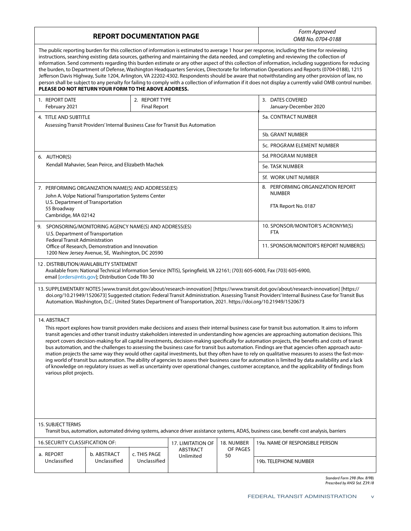| <b>REPORT DOCUMENTATION PAGE</b>                                                                                                                                                                                                                                                                                                                                                                                                                                                                                                                                                                                                                                                                                                                                                                                                                                                                                                                                                                                                                                                                              |                                                      |                                       |                                                                                |                | Form Approved<br>OMB No. 0704-0188                 |
|---------------------------------------------------------------------------------------------------------------------------------------------------------------------------------------------------------------------------------------------------------------------------------------------------------------------------------------------------------------------------------------------------------------------------------------------------------------------------------------------------------------------------------------------------------------------------------------------------------------------------------------------------------------------------------------------------------------------------------------------------------------------------------------------------------------------------------------------------------------------------------------------------------------------------------------------------------------------------------------------------------------------------------------------------------------------------------------------------------------|------------------------------------------------------|---------------------------------------|--------------------------------------------------------------------------------|----------------|----------------------------------------------------|
| The public reporting burden for this collection of information is estimated to average 1 hour per response, including the time for reviewing<br>instructions, searching existing data sources, gathering and maintaining the data needed, and completing and reviewing the collection of<br>information. Send comments regarding this burden estimate or any other aspect of this collection of information, including suggestions for reducing<br>the burden, to Department of Defense, Washington Headquarters Services, Directorate for Information Operations and Reports (0704-0188), 1215<br>Jefferson Davis Highway, Suite 1204, Arlington, VA 22202-4302. Respondents should be aware that notwithstanding any other provision of law, no<br>person shall be subject to any penalty for failing to comply with a collection of information if it does not display a currently valid OMB control number.<br>PLEASE DO NOT RETURN YOUR FORM TO THE ABOVE ADDRESS.                                                                                                                                       |                                                      |                                       |                                                                                |                |                                                    |
| 1. REPORT DATE<br>February 2021                                                                                                                                                                                                                                                                                                                                                                                                                                                                                                                                                                                                                                                                                                                                                                                                                                                                                                                                                                                                                                                                               |                                                      | 2. REPORT TYPE<br><b>Final Report</b> |                                                                                |                | 3. DATES COVERED<br>January-December 2020          |
| 4. TITLE AND SUBTITLE                                                                                                                                                                                                                                                                                                                                                                                                                                                                                                                                                                                                                                                                                                                                                                                                                                                                                                                                                                                                                                                                                         |                                                      |                                       | Assessing Transit Providers' Internal Business Case for Transit Bus Automation |                | 5a. CONTRACT NUMBER                                |
|                                                                                                                                                                                                                                                                                                                                                                                                                                                                                                                                                                                                                                                                                                                                                                                                                                                                                                                                                                                                                                                                                                               |                                                      |                                       |                                                                                |                | 5b. GRANT NUMBER                                   |
|                                                                                                                                                                                                                                                                                                                                                                                                                                                                                                                                                                                                                                                                                                                                                                                                                                                                                                                                                                                                                                                                                                               |                                                      |                                       |                                                                                |                | 5c. PROGRAM ELEMENT NUMBER                         |
| 6. AUTHOR(S)                                                                                                                                                                                                                                                                                                                                                                                                                                                                                                                                                                                                                                                                                                                                                                                                                                                                                                                                                                                                                                                                                                  |                                                      |                                       |                                                                                |                | 5d. PROGRAM NUMBER                                 |
|                                                                                                                                                                                                                                                                                                                                                                                                                                                                                                                                                                                                                                                                                                                                                                                                                                                                                                                                                                                                                                                                                                               | Kendall Mahavier, Sean Peirce, and Elizabeth Machek  |                                       |                                                                                |                | 5e. TASK NUMBER                                    |
|                                                                                                                                                                                                                                                                                                                                                                                                                                                                                                                                                                                                                                                                                                                                                                                                                                                                                                                                                                                                                                                                                                               |                                                      |                                       |                                                                                |                | 5f. WORK UNIT NUMBER                               |
| 7. PERFORMING ORGANIZATION NAME(S) AND ADDRESSE(ES)                                                                                                                                                                                                                                                                                                                                                                                                                                                                                                                                                                                                                                                                                                                                                                                                                                                                                                                                                                                                                                                           | John A. Volpe National Transportation Systems Center |                                       |                                                                                |                | 8. PERFORMING ORGANIZATION REPORT<br><b>NUMBER</b> |
| U.S. Department of Transportation<br>55 Broadway<br>Cambridge, MA 02142                                                                                                                                                                                                                                                                                                                                                                                                                                                                                                                                                                                                                                                                                                                                                                                                                                                                                                                                                                                                                                       |                                                      |                                       |                                                                                |                | FTA Report No. 0187                                |
| 9. SPONSORING/MONITORING AGENCY NAME(S) AND ADDRESS(ES)<br>U.S. Department of Transportation                                                                                                                                                                                                                                                                                                                                                                                                                                                                                                                                                                                                                                                                                                                                                                                                                                                                                                                                                                                                                  |                                                      |                                       |                                                                                |                | 10. SPONSOR/MONITOR'S ACRONYM(S)<br><b>FTA</b>     |
| <b>Federal Transit Administration</b><br>Office of Research, Demonstration and Innovation<br>1200 New Jersey Avenue, SE, Washington, DC 20590                                                                                                                                                                                                                                                                                                                                                                                                                                                                                                                                                                                                                                                                                                                                                                                                                                                                                                                                                                 |                                                      |                                       |                                                                                |                | 11. SPONSOR/MONITOR'S REPORT NUMBER(S)             |
| 12. DISTRIBUTION/AVAILABILITY STATEMENT<br>Available from: National Technical Information Service (NTIS), Springfield, VA 22161; (703) 605-6000, Fax (703) 605-6900,<br>email [orders@ntis.gov]; Distribution Code TRI-30                                                                                                                                                                                                                                                                                                                                                                                                                                                                                                                                                                                                                                                                                                                                                                                                                                                                                     |                                                      |                                       |                                                                                |                |                                                    |
| 13. SUPPLEMENTARY NOTES [www.transit.dot.gov/about/research-innovation] [https://www.transit.dot.gov/about/research-innovation] [https://<br>doi.org/10.21949/1520673] Suggested citation: Federal Transit Administration. Assessing Transit Providers' Internal Business Case for Transit Bus<br>Automation. Washington, D.C.: United States Department of Transportation, 2021. https://doi.org/10.21949/1520673                                                                                                                                                                                                                                                                                                                                                                                                                                                                                                                                                                                                                                                                                            |                                                      |                                       |                                                                                |                |                                                    |
| 14. ABSTRACT<br>This report explores how transit providers make decisions and assess their internal business case for transit bus automation. It aims to inform<br>transit agencies and other transit industry stakeholders interested in understanding how agencies are approaching automation decisions. This<br>report covers decision-making for all capital investments, decision-making specifically for automation projects, the benefits and costs of transit<br>bus automation, and the challenges to assessing the business case for transit bus automation. Findings are that agencies often approach auto-<br>mation projects the same way they would other capital investments, but they often have to rely on qualitative measures to assess the fast-mov-<br>ing world of transit bus automation. The ability of agencies to assess their business case for automation is limited by data availability and a lack<br>of knowledge on regulatory issues as well as uncertainty over operational changes, customer acceptance, and the applicability of findings from<br>various pilot projects. |                                                      |                                       |                                                                                |                |                                                    |
| 15. SUBJECT TERMS<br>Transit bus, automation, automated driving systems, advance driver assistance systems, ADAS, business case, benefit-cost analysis, barriers                                                                                                                                                                                                                                                                                                                                                                                                                                                                                                                                                                                                                                                                                                                                                                                                                                                                                                                                              |                                                      |                                       |                                                                                |                |                                                    |
| 16. SECURITY CLASSIFICATION OF:                                                                                                                                                                                                                                                                                                                                                                                                                                                                                                                                                                                                                                                                                                                                                                                                                                                                                                                                                                                                                                                                               |                                                      |                                       | 17. LIMITATION OF                                                              | 18. NUMBER     | 19a. NAME OF RESPONSIBLE PERSON                    |
| a. REPORT<br>Unclassified                                                                                                                                                                                                                                                                                                                                                                                                                                                                                                                                                                                                                                                                                                                                                                                                                                                                                                                                                                                                                                                                                     | b. ABSTRACT<br>Unclassified                          | c. THIS PAGE<br>Unclassified          | ABSTRACT<br>Unlimited                                                          | OF PAGES<br>50 | 19b. TELEPHONE NUMBER                              |
|                                                                                                                                                                                                                                                                                                                                                                                                                                                                                                                                                                                                                                                                                                                                                                                                                                                                                                                                                                                                                                                                                                               |                                                      |                                       |                                                                                |                |                                                    |

*Standard Form 298 (Rev. 8/98) Prescribed by ANSI Std. Z39.18*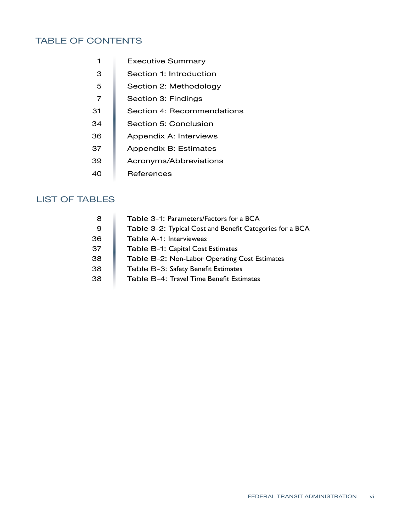#### TABLE OF CONTENTS

| 1  | <b>Executive Summary</b>   |
|----|----------------------------|
| З  | Section 1: Introduction    |
| 5  | Section 2: Methodology     |
| 7  | Section 3: Findings        |
| 31 | Section 4: Recommendations |
| 34 | Section 5: Conclusion      |
| 36 | Appendix A: Interviews     |
| 37 | Appendix B: Estimates      |
| 39 | Acronyms/Abbreviations     |
| 40 | References                 |

#### LIST OF TABLES

| 8  | Table 3-1: Parameters/Factors for a BCA                  |
|----|----------------------------------------------------------|
| 9  | Table 3-2: Typical Cost and Benefit Categories for a BCA |
| 36 | Table A-1: Interviewees                                  |
| 37 | Table B-1: Capital Cost Estimates                        |
| 38 | Table B-2: Non-Labor Operating Cost Estimates            |
| 38 | Table B-3: Safety Benefit Estimates                      |
| 38 | Table B-4: Travel Time Benefit Estimates                 |
|    |                                                          |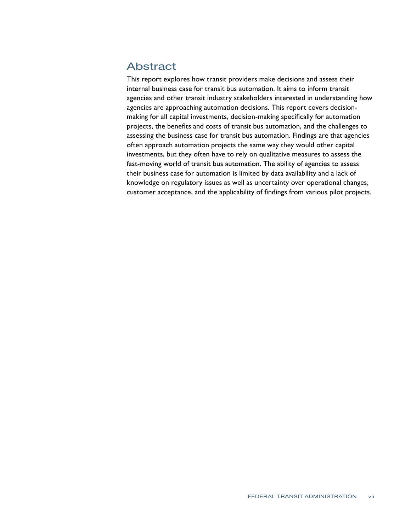#### Abstract

This report explores how transit providers make decisions and assess their internal business case for transit bus automation. It aims to inform transit agencies and other transit industry stakeholders interested in understanding how agencies are approaching automation decisions. This report covers decisionmaking for all capital investments, decision-making specifically for automation projects, the benefits and costs of transit bus automation, and the challenges to assessing the business case for transit bus automation. Findings are that agencies often approach automation projects the same way they would other capital investments, but they often have to rely on qualitative measures to assess the fast-moving world of transit bus automation. The ability of agencies to assess their business case for automation is limited by data availability and a lack of knowledge on regulatory issues as well as uncertainty over operational changes, customer acceptance, and the applicability of findings from various pilot projects.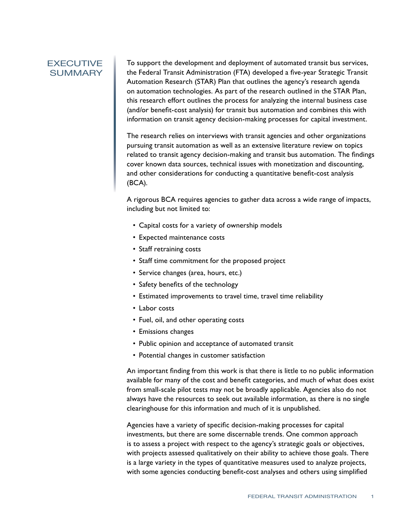#### <span id="page-7-0"></span>EXECUTIVE SUMMARY

To support the development and deployment of automated transit bus services, the Federal Transit Administration (FTA) developed a five-year Strategic Transit Automation Research (STAR) Plan that outlines the agency's research agenda on automation technologies. As part of the research outlined in the STAR Plan, this research effort outlines the process for analyzing the internal business case (and/or benefit-cost analysis) for transit bus automation and combines this with information on transit agency decision-making processes for capital investment.

The research relies on interviews with transit agencies and other organizations pursuing transit automation as well as an extensive literature review on topics related to transit agency decision-making and transit bus automation. The findings cover known data sources, technical issues with monetization and discounting, and other considerations for conducting a quantitative benefit-cost analysis (BCA).

A rigorous BCA requires agencies to gather data across a wide range of impacts, including but not limited to:

- Capital costs for a variety of ownership models
- Expected maintenance costs
- Staff retraining costs
- Staff time commitment for the proposed project
- Service changes (area, hours, etc.)
- Safety benefits of the technology
- Estimated improvements to travel time, travel time reliability
- Labor costs
- Fuel, oil, and other operating costs
- Emissions changes
- Public opinion and acceptance of automated transit
- Potential changes in customer satisfaction

An important finding from this work is that there is little to no public information available for many of the cost and benefit categories, and much of what does exist from small-scale pilot tests may not be broadly applicable. Agencies also do not always have the resources to seek out available information, as there is no single clearinghouse for this information and much of it is unpublished.

Agencies have a variety of specific decision-making processes for capital investments, but there are some discernable trends. One common approach is to assess a project with respect to the agency's strategic goals or objectives, with projects assessed qualitatively on their ability to achieve those goals. There is a large variety in the types of quantitative measures used to analyze projects, with some agencies conducting benefit-cost analyses and others using simplified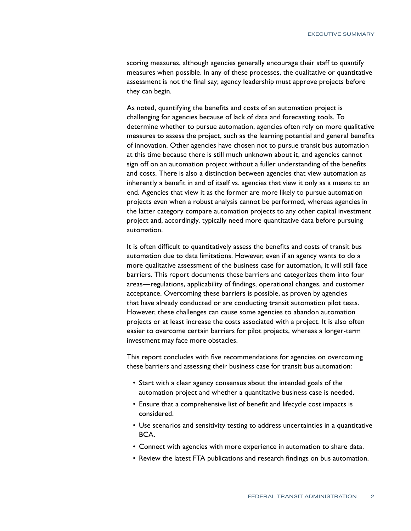scoring measures, although agencies generally encourage their staff to quantify measures when possible. In any of these processes, the qualitative or quantitative assessment is not the final say; agency leadership must approve projects before they can begin.

As noted, quantifying the benefits and costs of an automation project is challenging for agencies because of lack of data and forecasting tools. To determine whether to pursue automation, agencies often rely on more qualitative measures to assess the project, such as the learning potential and general benefits of innovation. Other agencies have chosen not to pursue transit bus automation at this time because there is still much unknown about it, and agencies cannot sign off on an automation project without a fuller understanding of the benefits and costs. There is also a distinction between agencies that view automation as inherently a benefit in and of itself vs. agencies that view it only as a means to an end. Agencies that view it as the former are more likely to pursue automation projects even when a robust analysis cannot be performed, whereas agencies in the latter category compare automation projects to any other capital investment project and, accordingly, typically need more quantitative data before pursuing automation.

It is often difficult to quantitatively assess the benefits and costs of transit bus automation due to data limitations. However, even if an agency wants to do a more qualitative assessment of the business case for automation, it will still face barriers. This report documents these barriers and categorizes them into four areas—regulations, applicability of findings, operational changes, and customer acceptance. Overcoming these barriers is possible, as proven by agencies that have already conducted or are conducting transit automation pilot tests. However, these challenges can cause some agencies to abandon automation projects or at least increase the costs associated with a project. It is also often easier to overcome certain barriers for pilot projects, whereas a longer-term investment may face more obstacles.

This report concludes with five recommendations for agencies on overcoming these barriers and assessing their business case for transit bus automation:

- Start with a clear agency consensus about the intended goals of the automation project and whether a quantitative business case is needed.
- Ensure that a comprehensive list of benefit and lifecycle cost impacts is considered.
- Use scenarios and sensitivity testing to address uncertainties in a quantitative BCA.
- Connect with agencies with more experience in automation to share data.
- Review the latest FTA publications and research findings on bus automation.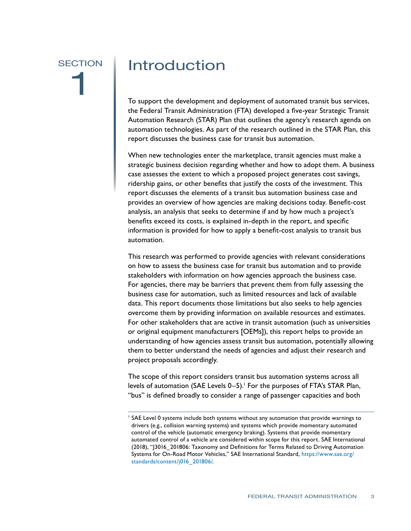# <span id="page-9-0"></span>**SECTION** 1

### Introduction

To support the development and deployment of automated transit bus services, the Federal Transit Administration (FTA) developed a five-year Strategic Transit Automation Research (STAR) Plan that outlines the agency's research agenda on automation technologies. As part of the research outlined in the STAR Plan, this report discusses the business case for transit bus automation.

When new technologies enter the marketplace, transit agencies must make a strategic business decision regarding whether and how to adopt them. A business case assesses the extent to which a proposed project generates cost savings, ridership gains, or other benefits that justify the costs of the investment. This report discusses the elements of a transit bus automation business case and provides an overview of how agencies are making decisions today. Benefit-cost analysis, an analysis that seeks to determine if and by how much a project's benefits exceed its costs, is explained in-depth in the report, and specific information is provided for how to apply a benefit-cost analysis to transit bus automation.

This research was performed to provide agencies with relevant considerations on how to assess the business case for transit bus automation and to provide stakeholders with information on how agencies approach the business case. For agencies, there may be barriers that prevent them from fully assessing the business case for automation, such as limited resources and lack of available data. This report documents those limitations but also seeks to help agencies overcome them by providing information on available resources and estimates. For other stakeholders that are active in transit automation (such as universities or original equipment manufacturers [OEMs]), this report helps to provide an understanding of how agencies assess transit bus automation, potentially allowing them to better understand the needs of agencies and adjust their research and project proposals accordingly.

The scope of this report considers transit bus automation systems across all levels of automation (SAE Levels 0–5).<sup>1</sup> For the purposes of FTA's STAR Plan, "bus" is defined broadly to consider a range of passenger capacities and both

<sup>1</sup> SAE Level 0 systems include both systems without any automation that provide warnings to drivers (e.g., collision warning systems) and systems which provide momentary automated control of the vehicle (automatic emergency braking). Systems that provide momentary automated control of a vehicle are considered within scope for this report. SAE International (2018), "J3016\_201806: Taxonomy and Definitions for Terms Related to Driving Automation Systems for On-Road Motor Vehicles," SAE International Standard, [https://www.sae.org/](https://www.sae.org/standards/content/j016_201806/) [standards/content/j016\\_201806/.](https://www.sae.org/standards/content/j016_201806/)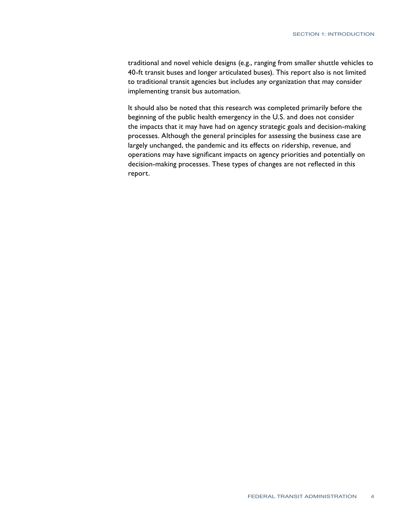traditional and novel vehicle designs (e.g., ranging from smaller shuttle vehicles to 40-ft transit buses and longer articulated buses). This report also is not limited to traditional transit agencies but includes any organization that may consider implementing transit bus automation.

It should also be noted that this research was completed primarily before the beginning of the public health emergency in the U.S. and does not consider the impacts that it may have had on agency strategic goals and decision-making processes. Although the general principles for assessing the business case are largely unchanged, the pandemic and its effects on ridership, revenue, and operations may have significant impacts on agency priorities and potentially on decision-making processes. These types of changes are not reflected in this report.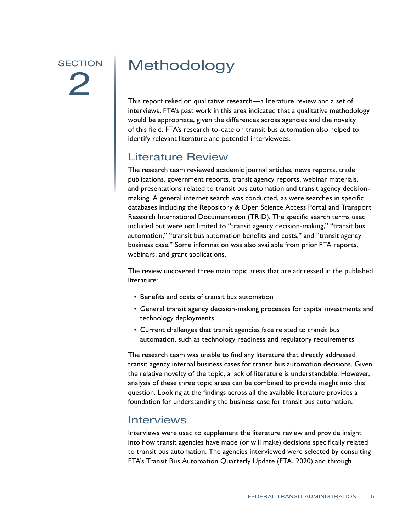# <span id="page-11-0"></span>**SECTION** 2

## Methodology

This report relied on qualitative research—a literature review and a set of interviews. FTA's past work in this area indicated that a qualitative methodology would be appropriate, given the differences across agencies and the novelty of this field. FTA's research to-date on transit bus automation also helped to identify relevant literature and potential interviewees.

### Literature Review

The research team reviewed academic journal articles, news reports, trade publications, government reports, transit agency reports, webinar materials, and presentations related to transit bus automation and transit agency decisionmaking. A general internet search was conducted, as were searches in specific databases including the Repository & Open Science Access Portal and Transport Research International Documentation (TRID). The specific search terms used included but were not limited to "transit agency decision-making," "transit bus automation," "transit bus automation benefits and costs," and "transit agency business case." Some information was also available from prior FTA reports, webinars, and grant applications.

The review uncovered three main topic areas that are addressed in the published literature:

- Benefits and costs of transit bus automation
- General transit agency decision-making processes for capital investments and technology deployments
- Current challenges that transit agencies face related to transit bus automation, such as technology readiness and regulatory requirements

The research team was unable to find any literature that directly addressed transit agency internal business cases for transit bus automation decisions. Given the relative novelty of the topic, a lack of literature is understandable. However, analysis of these three topic areas can be combined to provide insight into this question. Looking at the findings across all the available literature provides a foundation for understanding the business case for transit bus automation.

#### Interviews

Interviews were used to supplement the literature review and provide insight into how transit agencies have made (or will make) decisions specifically related to transit bus automation. The agencies interviewed were selected by consulting FTA's Transit Bus Automation Quarterly Update (FTA, 2020) and through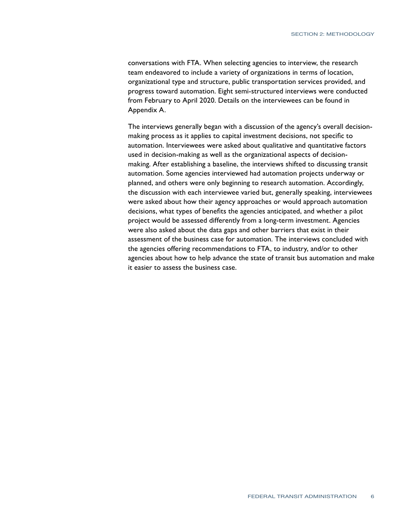conversations with FTA. When selecting agencies to interview, the research team endeavored to include a variety of organizations in terms of location, organizational type and structure, public transportation services provided, and progress toward automation. Eight semi-structured interviews were conducted from February to April 2020. Details on the interviewees can be found in Appendix A.

The interviews generally began with a discussion of the agency's overall decisionmaking process as it applies to capital investment decisions, not specific to automation. Interviewees were asked about qualitative and quantitative factors used in decision-making as well as the organizational aspects of decisionmaking. After establishing a baseline, the interviews shifted to discussing transit automation. Some agencies interviewed had automation projects underway or planned, and others were only beginning to research automation. Accordingly, the discussion with each interviewee varied but, generally speaking, interviewees were asked about how their agency approaches or would approach automation decisions, what types of benefits the agencies anticipated, and whether a pilot project would be assessed differently from a long-term investment. Agencies were also asked about the data gaps and other barriers that exist in their assessment of the business case for automation. The interviews concluded with the agencies offering recommendations to FTA, to industry, and/or to other agencies about how to help advance the state of transit bus automation and make it easier to assess the business case.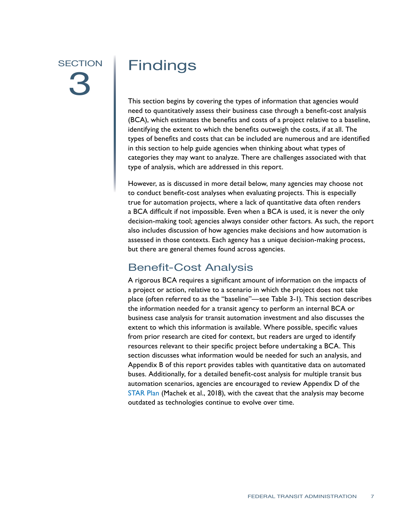## <span id="page-13-0"></span>**SECTION** 3

## Findings

This section begins by covering the types of information that agencies would need to quantitatively assess their business case through a benefit-cost analysis (BCA), which estimates the benefits and costs of a project relative to a baseline, identifying the extent to which the benefits outweigh the costs, if at all. The types of benefits and costs that can be included are numerous and are identified in this section to help guide agencies when thinking about what types of categories they may want to analyze. There are challenges associated with that type of analysis, which are addressed in this report.

However, as is discussed in more detail below, many agencies may choose not to conduct benefit-cost analyses when evaluating projects. This is especially true for automation projects, where a lack of quantitative data often renders a BCA difficult if not impossible. Even when a BCA is used, it is never the only decision-making tool; agencies always consider other factors. As such, the report also includes discussion of how agencies make decisions and how automation is assessed in those contexts. Each agency has a unique decision-making process, but there are general themes found across agencies.

#### Benefit-Cost Analysis

A rigorous BCA requires a significant amount of information on the impacts of a project or action, relative to a scenario in which the project does not take place (often referred to as the "baseline"—see Table 3-1). This section describes the information needed for a transit agency to perform an internal BCA or business case analysis for transit automation investment and also discusses the extent to which this information is available. Where possible, specific values from prior research are cited for context, but readers are urged to identify resources relevant to their specific project before undertaking a BCA. This section discusses what information would be needed for such an analysis, and Appendix B of this report provides tables with quantitative data on automated buses. Additionally, for a detailed benefit-cost analysis for multiple transit bus automation scenarios, agencies are encouraged to review Appendix D of the [STAR Plan](https://www.transit.dot.gov/sites/fta.dot.gov/files/docs/research-innovation/114661/strategic-transit-automation-research-report-no-0116_0.pdf) (Machek et al., 2018), with the caveat that the analysis may become outdated as technologies continue to evolve over time.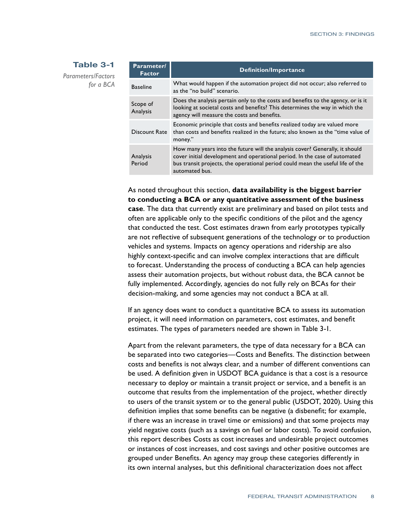#### <span id="page-14-0"></span>**Table 3-1**

*Parameters/Factors for a BCA*

| Parameter/<br><b>Factor</b> | <b>Definition/Importance</b>                                                                                                                                                                                                                                   |
|-----------------------------|----------------------------------------------------------------------------------------------------------------------------------------------------------------------------------------------------------------------------------------------------------------|
| <b>Baseline</b>             | What would happen if the automation project did not occur; also referred to<br>as the "no build" scenario.                                                                                                                                                     |
| Scope of<br>Analysis        | Does the analysis pertain only to the costs and benefits to the agency, or is it<br>looking at societal costs and benefits? This determines the way in which the<br>agency will measure the costs and benefits.                                                |
| Discount Rate               | Economic principle that costs and benefits realized today are valued more<br>than costs and benefits realized in the future; also known as the "time value of<br>money."                                                                                       |
| Analysis<br>Period          | How many years into the future will the analysis cover? Generally, it should<br>cover initial development and operational period. In the case of automated<br>bus transit projects, the operational period could mean the useful life of the<br>automated bus. |

As noted throughout this section, **data availability is the biggest barrier to conducting a BCA or any quantitative assessment of the business case**. The data that currently exist are preliminary and based on pilot tests and often are applicable only to the specific conditions of the pilot and the agency that conducted the test. Cost estimates drawn from early prototypes typically are not reflective of subsequent generations of the technology or to production vehicles and systems. Impacts on agency operations and ridership are also highly context-specific and can involve complex interactions that are difficult to forecast. Understanding the process of conducting a BCA can help agencies assess their automation projects, but without robust data, the BCA cannot be fully implemented. Accordingly, agencies do not fully rely on BCAs for their decision-making, and some agencies may not conduct a BCA at all.

If an agency does want to conduct a quantitative BCA to assess its automation project, it will need information on parameters, cost estimates, and benefit estimates. The types of parameters needed are shown in Table 3-1.

Apart from the relevant parameters, the type of data necessary for a BCA can be separated into two categories—Costs and Benefits. The distinction between costs and benefits is not always clear, and a number of different conventions can be used. A definition given in USDOT BCA guidance is that a cost is a resource necessary to deploy or maintain a transit project or service, and a benefit is an outcome that results from the implementation of the project, whether directly to users of the transit system or to the general public (USDOT, 2020). Using this definition implies that some benefits can be negative (a disbenefit; for example, if there was an increase in travel time or emissions) and that some projects may yield negative costs (such as a savings on fuel or labor costs). To avoid confusion, this report describes Costs as cost increases and undesirable project outcomes or instances of cost increases, and cost savings and other positive outcomes are grouped under Benefits. An agency may group these categories differently in its own internal analyses, but this definitional characterization does not affect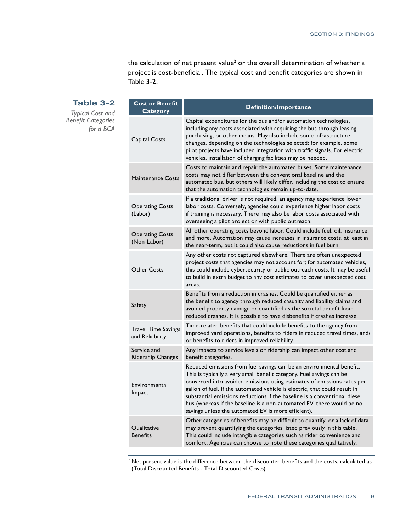the calculation of net present value<sup>2</sup> or the overall determination of whether a project is cost-beneficial. The typical cost and benefit categories are shown in Table 3-2.

#### <span id="page-15-0"></span>**Table 3-2**

**Cost or Benefit** 

*Typical Cost and Benefit Categories for a BCA*

| <b>Category</b>                               | <b>Definition/Importance</b>                                                                                                                                                                                                                                                                                                                                                                                                                                                                                       |
|-----------------------------------------------|--------------------------------------------------------------------------------------------------------------------------------------------------------------------------------------------------------------------------------------------------------------------------------------------------------------------------------------------------------------------------------------------------------------------------------------------------------------------------------------------------------------------|
| Capital Costs                                 | Capital expenditures for the bus and/or automation technologies,<br>including any costs associated with acquiring the bus through leasing,<br>purchasing, or other means. May also include some infrastructure<br>changes, depending on the technologies selected; for example, some<br>pilot projects have included integration with traffic signals. For electric<br>vehicles, installation of charging facilities may be needed.                                                                                |
| <b>Maintenance Costs</b>                      | Costs to maintain and repair the automated buses. Some maintenance<br>costs may not differ between the conventional baseline and the<br>automated bus, but others will likely differ, including the cost to ensure<br>that the automation technologies remain up-to-date.                                                                                                                                                                                                                                          |
| <b>Operating Costs</b><br>(Labor)             | If a traditional driver is not required, an agency may experience lower<br>labor costs. Conversely, agencies could experience higher labor costs<br>if training is necessary. There may also be labor costs associated with<br>overseeing a pilot project or with public outreach.                                                                                                                                                                                                                                 |
| <b>Operating Costs</b><br>(Non-Labor)         | All other operating costs beyond labor. Could include fuel, oil, insurance,<br>and more. Automation may cause increases in insurance costs, at least in<br>the near-term, but it could also cause reductions in fuel burn.                                                                                                                                                                                                                                                                                         |
| Other Costs                                   | Any other costs not captured elsewhere. There are often unexpected<br>project costs that agencies may not account for; for automated vehicles,<br>this could include cybersecurity or public outreach costs. It may be useful<br>to build in extra budget to any cost estimates to cover unexpected cost<br>areas.                                                                                                                                                                                                 |
| Safety                                        | Benefits from a reduction in crashes. Could be quantified either as<br>the benefit to agency through reduced casualty and liability claims and<br>avoided property damage or quantified as the societal benefit from<br>reduced crashes. It is possible to have disbenefits if crashes increase.                                                                                                                                                                                                                   |
| <b>Travel Time Savings</b><br>and Reliability | Time-related benefits that could include benefits to the agency from<br>improved yard operations, benefits to riders in reduced travel times, and/<br>or benefits to riders in improved reliability.                                                                                                                                                                                                                                                                                                               |
| Service and<br>Ridership Changes              | Any impacts to service levels or ridership can impact other cost and<br>benefit categories.                                                                                                                                                                                                                                                                                                                                                                                                                        |
| Environmental<br>Impact                       | Reduced emissions from fuel savings can be an environmental benefit.<br>This is typically a very small benefit category. Fuel savings can be<br>converted into avoided emissions using estimates of emissions rates per<br>gallon of fuel. If the automated vehicle is electric, that could result in<br>substantial emissions reductions if the baseline is a conventional diesel<br>bus (whereas if the baseline is a non-automated EV, there would be no<br>savings unless the automated EV is more efficient). |
| Qualitative<br><b>Benefits</b>                | Other categories of benefits may be difficult to quantify, or a lack of data<br>may prevent quantifying the categories listed previously in this table.<br>This could include intangible categories such as rider convenience and<br>comfort. Agencies can choose to note these categories qualitatively.                                                                                                                                                                                                          |

 $^2$  Net present value is the difference between the discounted benefits and the costs, calculated as (Total Discounted Benefits - Total Discounted Costs).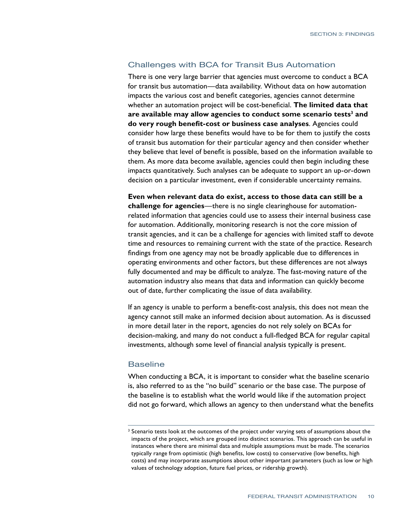#### Challenges with BCA for Transit Bus Automation

There is one very large barrier that agencies must overcome to conduct a BCA for transit bus automation—data availability. Without data on how automation impacts the various cost and benefit categories, agencies cannot determine whether an automation project will be cost-beneficial. **The limited data that are available may allow agencies to conduct some scenario tests<sup>3</sup> and do very rough benefit-cost or business case analyses**. Agencies could consider how large these benefits would have to be for them to justify the costs of transit bus automation for their particular agency and then consider whether they believe that level of benefit is possible, based on the information available to them. As more data become available, agencies could then begin including these impacts quantitatively. Such analyses can be adequate to support an up-or-down decision on a particular investment, even if considerable uncertainty remains.

**Even when relevant data do exist, access to those data can still be a challenge for agencies**—there is no single clearinghouse for automationrelated information that agencies could use to assess their internal business case for automation. Additionally, monitoring research is not the core mission of transit agencies, and it can be a challenge for agencies with limited staff to devote time and resources to remaining current with the state of the practice. Research findings from one agency may not be broadly applicable due to differences in operating environments and other factors, but these differences are not always fully documented and may be difficult to analyze. The fast-moving nature of the automation industry also means that data and information can quickly become out of date, further complicating the issue of data availability.

If an agency is unable to perform a benefit-cost analysis, this does not mean the agency cannot still make an informed decision about automation. As is discussed in more detail later in the report, agencies do not rely solely on BCAs for decision-making, and many do not conduct a full-fledged BCA for regular capital investments, although some level of financial analysis typically is present.

#### Baseline

When conducting a BCA, it is important to consider what the baseline scenario is, also referred to as the "no build" scenario or the base case. The purpose of the baseline is to establish what the world would like if the automation project did not go forward, which allows an agency to then understand what the benefits

<sup>&</sup>lt;sup>3</sup> Scenario tests look at the outcomes of the project under varying sets of assumptions about the impacts of the project, which are grouped into distinct scenarios. This approach can be useful in instances where there are minimal data and multiple assumptions must be made. The scenarios typically range from optimistic (high benefits, low costs) to conservative (low benefits, high costs) and may incorporate assumptions about other important parameters (such as low or high values of technology adoption, future fuel prices, or ridership growth).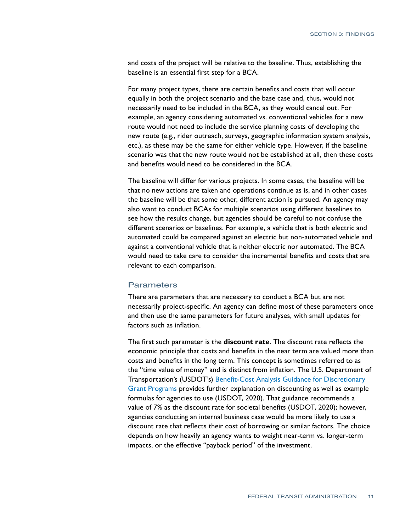and costs of the project will be relative to the baseline. Thus, establishing the baseline is an essential first step for a BCA.

For many project types, there are certain benefits and costs that will occur equally in both the project scenario and the base case and, thus, would not necessarily need to be included in the BCA, as they would cancel out. For example, an agency considering automated vs. conventional vehicles for a new route would not need to include the service planning costs of developing the new route (e.g., rider outreach, surveys, geographic information system analysis, etc.), as these may be the same for either vehicle type. However, if the baseline scenario was that the new route would not be established at all, then these costs and benefits would need to be considered in the BCA.

The baseline will differ for various projects. In some cases, the baseline will be that no new actions are taken and operations continue as is, and in other cases the baseline will be that some other, different action is pursued. An agency may also want to conduct BCAs for multiple scenarios using different baselines to see how the results change, but agencies should be careful to not confuse the different scenarios or baselines. For example, a vehicle that is both electric and automated could be compared against an electric but non-automated vehicle and against a conventional vehicle that is neither electric nor automated. The BCA would need to take care to consider the incremental benefits and costs that are relevant to each comparison.

#### **Parameters**

There are parameters that are necessary to conduct a BCA but are not necessarily project-specific. An agency can define most of these parameters once and then use the same parameters for future analyses, with small updates for factors such as inflation.

The first such parameter is the **discount rate**. The discount rate reflects the economic principle that costs and benefits in the near term are valued more than costs and benefits in the long term. This concept is sometimes referred to as the "time value of money" and is distinct from inflation. The U.S. Department of Transportation's (USDOT's) [Benefit-Cost Analysis Guidance for Discretionary](https://www.transportation.gov/sites/dot.gov/files/2020-01/benefit-cost-analysis-guidance-2020_0.pdf)  [Grant Programs](https://www.transportation.gov/sites/dot.gov/files/2020-01/benefit-cost-analysis-guidance-2020_0.pdf) provides further explanation on discounting as well as example formulas for agencies to use (USDOT, 2020). That guidance recommends a value of 7% as the discount rate for societal benefits (USDOT, 2020); however, agencies conducting an internal business case would be more likely to use a discount rate that reflects their cost of borrowing or similar factors. The choice depends on how heavily an agency wants to weight near-term vs. longer-term impacts, or the effective "payback period" of the investment.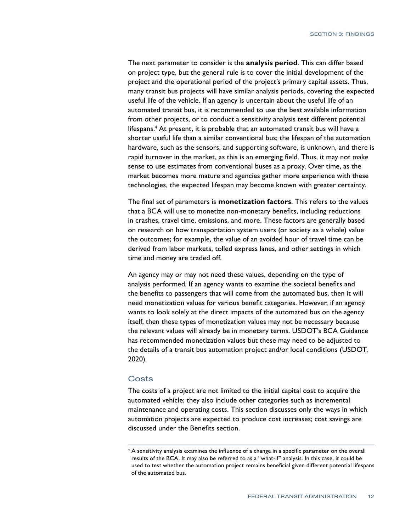The next parameter to consider is the **analysis period**. This can differ based on project type, but the general rule is to cover the initial development of the project and the operational period of the project's primary capital assets. Thus, many transit bus projects will have similar analysis periods, covering the expected useful life of the vehicle. If an agency is uncertain about the useful life of an automated transit bus, it is recommended to use the best available information from other projects, or to conduct a sensitivity analysis test different potential lifespans.4 At present, it is probable that an automated transit bus will have a shorter useful life than a similar conventional bus; the lifespan of the automation hardware, such as the sensors, and supporting software, is unknown, and there is rapid turnover in the market, as this is an emerging field. Thus, it may not make sense to use estimates from conventional buses as a proxy. Over time, as the market becomes more mature and agencies gather more experience with these technologies, the expected lifespan may become known with greater certainty.

The final set of parameters is **monetization factors**. This refers to the values that a BCA will use to monetize non-monetary benefits, including reductions in crashes, travel time, emissions, and more. These factors are generally based on research on how transportation system users (or society as a whole) value the outcomes; for example, the value of an avoided hour of travel time can be derived from labor markets, tolled express lanes, and other settings in which time and money are traded off.

An agency may or may not need these values, depending on the type of analysis performed. If an agency wants to examine the societal benefits and the benefits to passengers that will come from the automated bus, then it will need monetization values for various benefit categories. However, if an agency wants to look solely at the direct impacts of the automated bus on the agency itself, then these types of monetization values may not be necessary because the relevant values will already be in monetary terms. USDOT's BCA Guidance has recommended monetization values but these may need to be adjusted to the details of a transit bus automation project and/or local conditions (USDOT, 2020).

#### **Costs**

The costs of a project are not limited to the initial capital cost to acquire the automated vehicle; they also include other categories such as incremental maintenance and operating costs. This section discusses only the ways in which automation projects are expected to produce cost increases; cost savings are discussed under the Benefits section.

<sup>4</sup> A sensitivity analysis examines the influence of a change in a specific parameter on the overall results of the BCA. It may also be referred to as a "what-if" analysis. In this case, it could be used to test whether the automation project remains beneficial given different potential lifespans of the automated bus.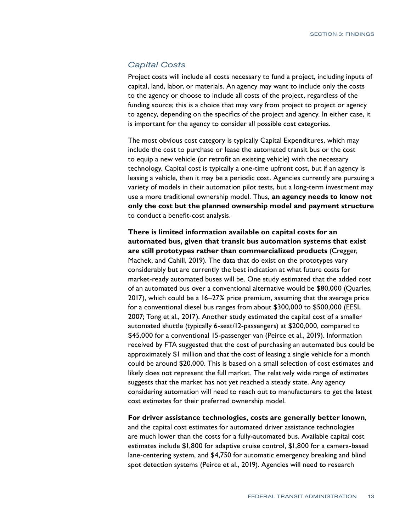#### *Capital Costs*

Project costs will include all costs necessary to fund a project, including inputs of capital, land, labor, or materials. An agency may want to include only the costs to the agency or choose to include all costs of the project, regardless of the funding source; this is a choice that may vary from project to project or agency to agency, depending on the specifics of the project and agency. In either case, it is important for the agency to consider all possible cost categories.

The most obvious cost category is typically Capital Expenditures, which may include the cost to purchase or lease the automated transit bus or the cost to equip a new vehicle (or retrofit an existing vehicle) with the necessary technology. Capital cost is typically a one-time upfront cost, but if an agency is leasing a vehicle, then it may be a periodic cost. Agencies currently are pursuing a variety of models in their automation pilot tests, but a long-term investment may use a more traditional ownership model. Thus, **an agency needs to know not only the cost but the planned ownership model and payment structure** to conduct a benefit-cost analysis.

**There is limited information available on capital costs for an automated bus, given that transit bus automation systems that exist are still prototypes rather than commercialized products** (Cregger, Machek, and Cahill, 2019). The data that do exist on the prototypes vary considerably but are currently the best indication at what future costs for market-ready automated buses will be. One study estimated that the added cost of an automated bus over a conventional alternative would be \$80,000 (Quarles, 2017), which could be a 16–27% price premium, assuming that the average price for a conventional diesel bus ranges from about \$300,000 to \$500,000 (EESI, 2007; Tong et al., 2017). Another study estimated the capital cost of a smaller automated shuttle (typically 6-seat/12-passengers) at \$200,000, compared to \$45,000 for a conventional 15-passenger van (Peirce et al., 2019). Information received by FTA suggested that the cost of purchasing an automated bus could be approximately \$1 million and that the cost of leasing a single vehicle for a month could be around \$20,000. This is based on a small selection of cost estimates and likely does not represent the full market. The relatively wide range of estimates suggests that the market has not yet reached a steady state. Any agency considering automation will need to reach out to manufacturers to get the latest cost estimates for their preferred ownership model.

**For driver assistance technologies, costs are generally better known**,

and the capital cost estimates for automated driver assistance technologies are much lower than the costs for a fully-automated bus. Available capital cost estimates include \$1,800 for adaptive cruise control, \$1,800 for a camera-based lane-centering system, and \$4,750 for automatic emergency breaking and blind spot detection systems (Peirce et al., 2019). Agencies will need to research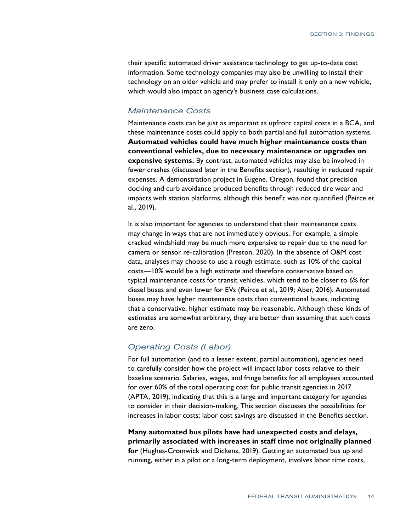their specific automated driver assistance technology to get up-to-date cost information. Some technology companies may also be unwilling to install their technology on an older vehicle and may prefer to install it only on a new vehicle, which would also impact an agency's business case calculations.

#### *Maintenance Costs*

Maintenance costs can be just as important as upfront capital costs in a BCA, and these maintenance costs could apply to both partial and full automation systems. **Automated vehicles could have much higher maintenance costs than conventional vehicles, due to necessary maintenance or upgrades on expensive systems.** By contrast, automated vehicles may also be involved in fewer crashes (discussed later in the Benefits section), resulting in reduced repair expenses. A demonstration project in Eugene, Oregon, found that precision docking and curb avoidance produced benefits through reduced tire wear and impacts with station platforms, although this benefit was not quantified (Peirce et al., 2019).

It is also important for agencies to understand that their maintenance costs may change in ways that are not immediately obvious. For example, a simple cracked windshield may be much more expensive to repair due to the need for camera or sensor re-calibration (Preston, 2020). In the absence of O&M cost data, analyses may choose to use a rough estimate, such as 10% of the capital costs—10% would be a high estimate and therefore conservative based on typical maintenance costs for transit vehicles, which tend to be closer to 6% for diesel buses and even lower for EVs (Peirce et al., 2019; Aber, 2016). Automated buses may have higher maintenance costs than conventional buses, indicating that a conservative, higher estimate may be reasonable. Although these kinds of estimates are somewhat arbitrary, they are better than assuming that such costs are zero.

#### *Operating Costs (Labor)*

For full automation (and to a lesser extent, partial automation), agencies need to carefully consider how the project will impact labor costs relative to their baseline scenario. Salaries, wages, and fringe benefits for all employees accounted for over 60% of the total operating cost for public transit agencies in 2017 (APTA, 2019), indicating that this is a large and important category for agencies to consider in their decision-making. This section discusses the possibilities for increases in labor costs; labor cost savings are discussed in the Benefits section.

**Many automated bus pilots have had unexpected costs and delays, primarily associated with increases in staff time not originally planned for** (Hughes-Cromwick and Dickens, 2019). Getting an automated bus up and running, either in a pilot or a long-term deployment, involves labor time costs,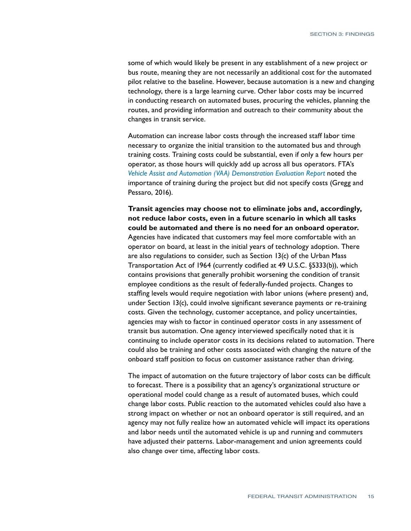some of which would likely be present in any establishment of a new project or bus route, meaning they are not necessarily an additional cost for the automated pilot relative to the baseline. However, because automation is a new and changing technology, there is a large learning curve. Other labor costs may be incurred in conducting research on automated buses, procuring the vehicles, planning the routes, and providing information and outreach to their community about the changes in transit service.

Automation can increase labor costs through the increased staff labor time necessary to organize the initial transition to the automated bus and through training costs. Training costs could be substantial, even if only a few hours per operator, as those hours will quickly add up across all bus operators. FTA's *[Vehicle Assist and Automation \(VAA\) Demonstration Evaluation Report](file:///C:/Users/Patricia/Documents/aFTA/aaFTA ACTIVE REPORTS/KILO9 (Business Case)/EDITED/ble at: https:/www.transit.dot.gov/sites/fta.dot.gov/files/docs/FTA_Report_No._)* noted the importance of training during the project but did not specify costs (Gregg and Pessaro, 2016).

**Transit agencies may choose not to eliminate jobs and, accordingly, not reduce labor costs, even in a future scenario in which all tasks could be automated and there is no need for an onboard operator.** Agencies have indicated that customers may feel more comfortable with an operator on board, at least in the initial years of technology adoption. There are also regulations to consider, such as Section 13(c) of the Urban Mass Transportation Act of 1964 (currently codified at 49 U.S.C. §5333(b)), which contains provisions that generally prohibit worsening the condition of transit employee conditions as the result of federally-funded projects. Changes to staffing levels would require negotiation with labor unions (where present) and, under Section 13(c), could involve significant severance payments or re-training costs. Given the technology, customer acceptance, and policy uncertainties, agencies may wish to factor in continued operator costs in any assessment of transit bus automation. One agency interviewed specifically noted that it is continuing to include operator costs in its decisions related to automation. There could also be training and other costs associated with changing the nature of the onboard staff position to focus on customer assistance rather than driving.

The impact of automation on the future trajectory of labor costs can be difficult to forecast. There is a possibility that an agency's organizational structure or operational model could change as a result of automated buses, which could change labor costs. Public reaction to the automated vehicles could also have a strong impact on whether or not an onboard operator is still required, and an agency may not fully realize how an automated vehicle will impact its operations and labor needs until the automated vehicle is up and running and commuters have adjusted their patterns. Labor-management and union agreements could also change over time, affecting labor costs.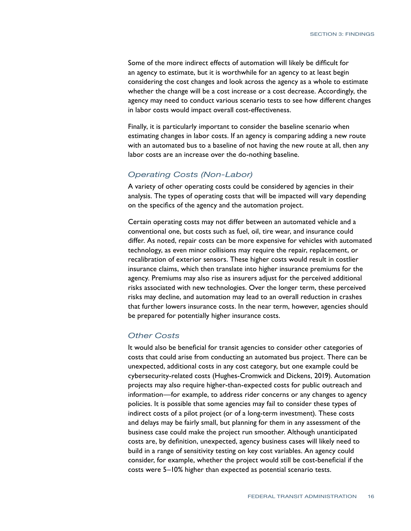Some of the more indirect effects of automation will likely be difficult for an agency to estimate, but it is worthwhile for an agency to at least begin considering the cost changes and look across the agency as a whole to estimate whether the change will be a cost increase or a cost decrease. Accordingly, the agency may need to conduct various scenario tests to see how different changes in labor costs would impact overall cost-effectiveness.

Finally, it is particularly important to consider the baseline scenario when estimating changes in labor costs. If an agency is comparing adding a new route with an automated bus to a baseline of not having the new route at all, then any labor costs are an increase over the do-nothing baseline.

#### *Operating Costs (Non-Labor)*

A variety of other operating costs could be considered by agencies in their analysis. The types of operating costs that will be impacted will vary depending on the specifics of the agency and the automation project.

Certain operating costs may not differ between an automated vehicle and a conventional one, but costs such as fuel, oil, tire wear, and insurance could differ. As noted, repair costs can be more expensive for vehicles with automated technology, as even minor collisions may require the repair, replacement, or recalibration of exterior sensors. These higher costs would result in costlier insurance claims, which then translate into higher insurance premiums for the agency. Premiums may also rise as insurers adjust for the perceived additional risks associated with new technologies. Over the longer term, these perceived risks may decline, and automation may lead to an overall reduction in crashes that further lowers insurance costs. In the near term, however, agencies should be prepared for potentially higher insurance costs.

#### *Other Costs*

It would also be beneficial for transit agencies to consider other categories of costs that could arise from conducting an automated bus project. There can be unexpected, additional costs in any cost category, but one example could be cybersecurity-related costs (Hughes-Cromwick and Dickens, 2019). Automation projects may also require higher-than-expected costs for public outreach and information—for example, to address rider concerns or any changes to agency policies. It is possible that some agencies may fail to consider these types of indirect costs of a pilot project (or of a long-term investment). These costs and delays may be fairly small, but planning for them in any assessment of the business case could make the project run smoother. Although unanticipated costs are, by definition, unexpected, agency business cases will likely need to build in a range of sensitivity testing on key cost variables. An agency could consider, for example, whether the project would still be cost-beneficial if the costs were 5–10% higher than expected as potential scenario tests.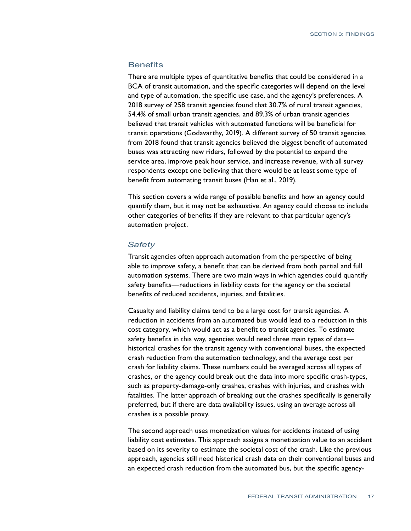#### **Benefits**

There are multiple types of quantitative benefits that could be considered in a BCA of transit automation, and the specific categories will depend on the level and type of automation, the specific use case, and the agency's preferences. A 2018 survey of 258 transit agencies found that 30.7% of rural transit agencies, 54.4% of small urban transit agencies, and 89.3% of urban transit agencies believed that transit vehicles with automated functions will be beneficial for transit operations (Godavarthy, 2019). A different survey of 50 transit agencies from 2018 found that transit agencies believed the biggest benefit of automated buses was attracting new riders, followed by the potential to expand the service area, improve peak hour service, and increase revenue, with all survey respondents except one believing that there would be at least some type of benefit from automating transit buses (Han et al., 2019).

This section covers a wide range of possible benefits and how an agency could quantify them, but it may not be exhaustive. An agency could choose to include other categories of benefits if they are relevant to that particular agency's automation project.

#### *Safety*

Transit agencies often approach automation from the perspective of being able to improve safety, a benefit that can be derived from both partial and full automation systems. There are two main ways in which agencies could quantify safety benefits—reductions in liability costs for the agency or the societal benefits of reduced accidents, injuries, and fatalities.

Casualty and liability claims tend to be a large cost for transit agencies. A reduction in accidents from an automated bus would lead to a reduction in this cost category, which would act as a benefit to transit agencies. To estimate safety benefits in this way, agencies would need three main types of data historical crashes for the transit agency with conventional buses, the expected crash reduction from the automation technology, and the average cost per crash for liability claims. These numbers could be averaged across all types of crashes, or the agency could break out the data into more specific crash-types, such as property-damage-only crashes, crashes with injuries, and crashes with fatalities. The latter approach of breaking out the crashes specifically is generally preferred, but if there are data availability issues, using an average across all crashes is a possible proxy.

The second approach uses monetization values for accidents instead of using liability cost estimates. This approach assigns a monetization value to an accident based on its severity to estimate the societal cost of the crash. Like the previous approach, agencies still need historical crash data on their conventional buses and an expected crash reduction from the automated bus, but the specific agency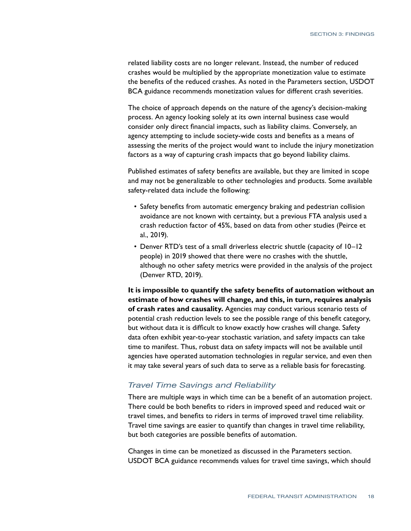related liability costs are no longer relevant. Instead, the number of reduced crashes would be multiplied by the appropriate monetization value to estimate the benefits of the reduced crashes. As noted in the Parameters section, USDOT BCA guidance recommends monetization values for different crash severities.

The choice of approach depends on the nature of the agency's decision-making process. An agency looking solely at its own internal business case would consider only direct financial impacts, such as liability claims. Conversely, an agency attempting to include society-wide costs and benefits as a means of assessing the merits of the project would want to include the injury monetization factors as a way of capturing crash impacts that go beyond liability claims.

Published estimates of safety benefits are available, but they are limited in scope and may not be generalizable to other technologies and products. Some available safety-related data include the following:

- Safety benefits from automatic emergency braking and pedestrian collision avoidance are not known with certainty, but a previous FTA analysis used a crash reduction factor of 45%, based on data from other studies (Peirce et al., 2019).
- Denver RTD's test of a small driverless electric shuttle (capacity of 10–12 people) in 2019 showed that there were no crashes with the shuttle, although no other safety metrics were provided in the analysis of the project (Denver RTD, 2019).

**It is impossible to quantify the safety benefits of automation without an estimate of how crashes will change, and this, in turn, requires analysis of crash rates and causality.** Agencies may conduct various scenario tests of potential crash reduction levels to see the possible range of this benefit category, but without data it is difficult to know exactly how crashes will change. Safety data often exhibit year-to-year stochastic variation, and safety impacts can take time to manifest. Thus, robust data on safety impacts will not be available until agencies have operated automation technologies in regular service, and even then it may take several years of such data to serve as a reliable basis for forecasting.

#### *Travel Time Savings and Reliability*

There are multiple ways in which time can be a benefit of an automation project. There could be both benefits to riders in improved speed and reduced wait or travel times, and benefits to riders in terms of improved travel time reliability. Travel time savings are easier to quantify than changes in travel time reliability, but both categories are possible benefits of automation.

Changes in time can be monetized as discussed in the Parameters section. USDOT BCA guidance recommends values for travel time savings, which should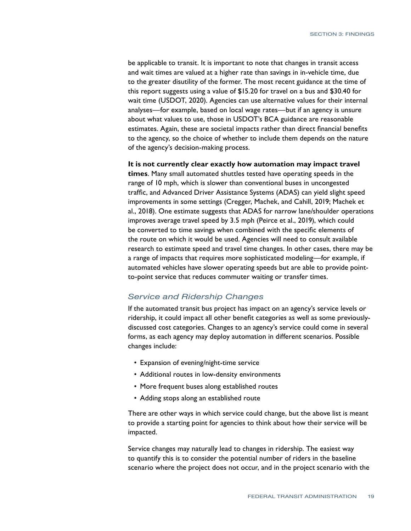be applicable to transit. It is important to note that changes in transit access and wait times are valued at a higher rate than savings in in-vehicle time, due to the greater disutility of the former. The most recent guidance at the time of this report suggests using a value of \$15.20 for travel on a bus and \$30.40 for wait time (USDOT, 2020). Agencies can use alternative values for their internal analyses—for example, based on local wage rates—but if an agency is unsure about what values to use, those in USDOT's BCA guidance are reasonable estimates. Again, these are societal impacts rather than direct financial benefits to the agency, so the choice of whether to include them depends on the nature of the agency's decision-making process.

**It is not currently clear exactly how automation may impact travel times**. Many small automated shuttles tested have operating speeds in the range of 10 mph, which is slower than conventional buses in uncongested traffic, and Advanced Driver Assistance Systems (ADAS) can yield slight speed improvements in some settings (Cregger, Machek, and Cahill, 2019; Machek et al., 2018). One estimate suggests that ADAS for narrow lane/shoulder operations improves average travel speed by 3.5 mph (Peirce et al., 2019), which could be converted to time savings when combined with the specific elements of the route on which it would be used. Agencies will need to consult available research to estimate speed and travel time changes. In other cases, there may be a range of impacts that requires more sophisticated modeling—for example, if automated vehicles have slower operating speeds but are able to provide pointto-point service that reduces commuter waiting or transfer times.

#### *Service and Ridership Changes*

If the automated transit bus project has impact on an agency's service levels or ridership, it could impact all other benefit categories as well as some previouslydiscussed cost categories. Changes to an agency's service could come in several forms, as each agency may deploy automation in different scenarios. Possible changes include:

- Expansion of evening/night-time service
- Additional routes in low-density environments
- More frequent buses along established routes
- Adding stops along an established route

There are other ways in which service could change, but the above list is meant to provide a starting point for agencies to think about how their service will be impacted.

Service changes may naturally lead to changes in ridership. The easiest way to quantify this is to consider the potential number of riders in the baseline scenario where the project does not occur, and in the project scenario with the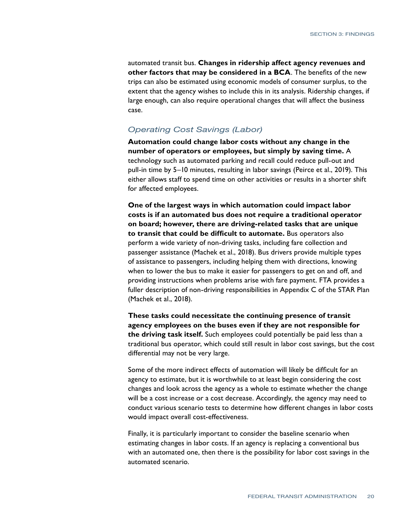automated transit bus. **Changes in ridership affect agency revenues and other factors that may be considered in a BCA**. The benefits of the new trips can also be estimated using economic models of consumer surplus, to the extent that the agency wishes to include this in its analysis. Ridership changes, if large enough, can also require operational changes that will affect the business case.

#### *Operating Cost Savings (Labor)*

**Automation could change labor costs without any change in the number of operators or employees, but simply by saving time.** A technology such as automated parking and recall could reduce pull-out and pull-in time by 5–10 minutes, resulting in labor savings (Peirce et al., 2019). This either allows staff to spend time on other activities or results in a shorter shift for affected employees.

**One of the largest ways in which automation could impact labor costs is if an automated bus does not require a traditional operator on board; however, there are driving-related tasks that are unique to transit that could be difficult to automate.** Bus operators also perform a wide variety of non-driving tasks, including fare collection and passenger assistance (Machek et al., 2018). Bus drivers provide multiple types of assistance to passengers, including helping them with directions, knowing when to lower the bus to make it easier for passengers to get on and off, and providing instructions when problems arise with fare payment. FTA provides a fuller description of non-driving responsibilities in Appendix C of the STAR Plan (Machek et al., 2018).

**These tasks could necessitate the continuing presence of transit agency employees on the buses even if they are not responsible for the driving task itself.** Such employees could potentially be paid less than a traditional bus operator, which could still result in labor cost savings, but the cost differential may not be very large.

Some of the more indirect effects of automation will likely be difficult for an agency to estimate, but it is worthwhile to at least begin considering the cost changes and look across the agency as a whole to estimate whether the change will be a cost increase or a cost decrease. Accordingly, the agency may need to conduct various scenario tests to determine how different changes in labor costs would impact overall cost-effectiveness.

Finally, it is particularly important to consider the baseline scenario when estimating changes in labor costs. If an agency is replacing a conventional bus with an automated one, then there is the possibility for labor cost savings in the automated scenario.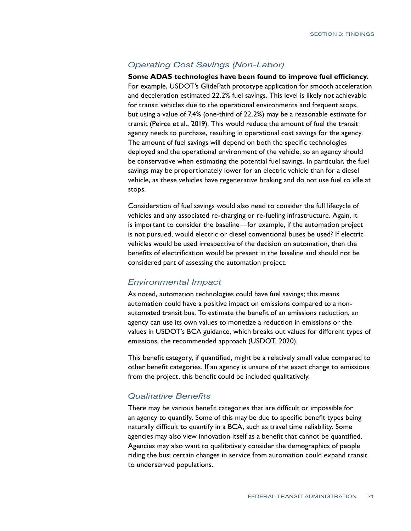#### *Operating Cost Savings (Non-Labor)*

**Some ADAS technologies have been found to improve fuel efficiency.**  For example, USDOT's GlidePath prototype application for smooth acceleration and deceleration estimated 22.2% fuel savings. This level is likely not achievable for transit vehicles due to the operational environments and frequent stops, but using a value of 7.4% (one-third of 22.2%) may be a reasonable estimate for transit (Peirce et al., 2019). This would reduce the amount of fuel the transit agency needs to purchase, resulting in operational cost savings for the agency. The amount of fuel savings will depend on both the specific technologies deployed and the operational environment of the vehicle, so an agency should be conservative when estimating the potential fuel savings. In particular, the fuel savings may be proportionately lower for an electric vehicle than for a diesel vehicle, as these vehicles have regenerative braking and do not use fuel to idle at stops.

Consideration of fuel savings would also need to consider the full lifecycle of vehicles and any associated re-charging or re-fueling infrastructure. Again, it is important to consider the baseline—for example, if the automation project is not pursued, would electric or diesel conventional buses be used? If electric vehicles would be used irrespective of the decision on automation, then the benefits of electrification would be present in the baseline and should not be considered part of assessing the automation project.

#### *Environmental Impact*

As noted, automation technologies could have fuel savings; this means automation could have a positive impact on emissions compared to a nonautomated transit bus. To estimate the benefit of an emissions reduction, an agency can use its own values to monetize a reduction in emissions or the values in USDOT's BCA guidance, which breaks out values for different types of emissions, the recommended approach (USDOT, 2020).

This benefit category, if quantified, might be a relatively small value compared to other benefit categories. If an agency is unsure of the exact change to emissions from the project, this benefit could be included qualitatively.

#### *Qualitative Benefits*

There may be various benefit categories that are difficult or impossible for an agency to quantify. Some of this may be due to specific benefit types being naturally difficult to quantify in a BCA, such as travel time reliability. Some agencies may also view innovation itself as a benefit that cannot be quantified. Agencies may also want to qualitatively consider the demographics of people riding the bus; certain changes in service from automation could expand transit to underserved populations.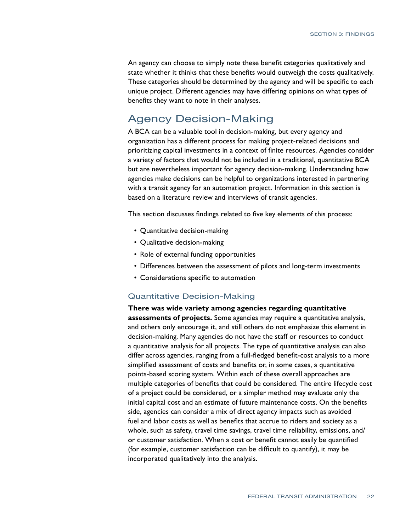An agency can choose to simply note these benefit categories qualitatively and state whether it thinks that these benefits would outweigh the costs qualitatively. These categories should be determined by the agency and will be specific to each unique project. Different agencies may have differing opinions on what types of benefits they want to note in their analyses.

#### Agency Decision-Making

A BCA can be a valuable tool in decision-making, but every agency and organization has a different process for making project-related decisions and prioritizing capital investments in a context of finite resources. Agencies consider a variety of factors that would not be included in a traditional, quantitative BCA but are nevertheless important for agency decision-making. Understanding how agencies make decisions can be helpful to organizations interested in partnering with a transit agency for an automation project. Information in this section is based on a literature review and interviews of transit agencies.

This section discusses findings related to five key elements of this process:

- Quantitative decision-making
- Qualitative decision-making
- Role of external funding opportunities
- Differences between the assessment of pilots and long-term investments
- Considerations specific to automation

#### Quantitative Decision-Making

**There was wide variety among agencies regarding quantitative assessments of projects.** Some agencies may require a quantitative analysis, and others only encourage it, and still others do not emphasize this element in decision-making. Many agencies do not have the staff or resources to conduct a quantitative analysis for all projects. The type of quantitative analysis can also differ across agencies, ranging from a full-fledged benefit-cost analysis to a more simplified assessment of costs and benefits or, in some cases, a quantitative points-based scoring system. Within each of these overall approaches are multiple categories of benefits that could be considered. The entire lifecycle cost of a project could be considered, or a simpler method may evaluate only the initial capital cost and an estimate of future maintenance costs. On the benefits side, agencies can consider a mix of direct agency impacts such as avoided fuel and labor costs as well as benefits that accrue to riders and society as a whole, such as safety, travel time savings, travel time reliability, emissions, and/ or customer satisfaction. When a cost or benefit cannot easily be quantified (for example, customer satisfaction can be difficult to quantify), it may be incorporated qualitatively into the analysis.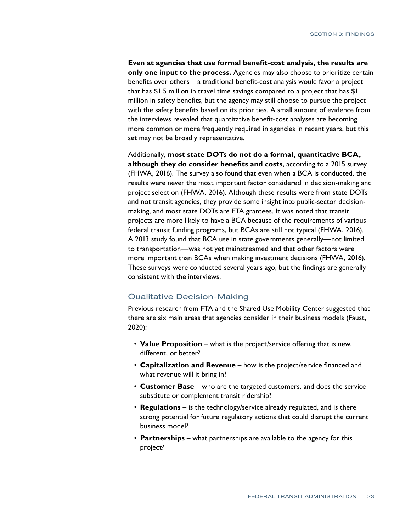**Even at agencies that use formal benefit-cost analysis, the results are only one input to the process.** Agencies may also choose to prioritize certain benefits over others—a traditional benefit-cost analysis would favor a project that has \$1.5 million in travel time savings compared to a project that has \$1 million in safety benefits, but the agency may still choose to pursue the project with the safety benefits based on its priorities. A small amount of evidence from the interviews revealed that quantitative benefit-cost analyses are becoming more common or more frequently required in agencies in recent years, but this set may not be broadly representative.

Additionally, **most state DOTs do not do a formal, quantitative BCA, although they do consider benefits and costs**, according to a 2015 survey (FHWA, 2016). The survey also found that even when a BCA is conducted, the results were never the most important factor considered in decision-making and project selection (FHWA, 2016). Although these results were from state DOTs and not transit agencies, they provide some insight into public-sector decisionmaking, and most state DOTs are FTA grantees. It was noted that transit projects are more likely to have a BCA because of the requirements of various federal transit funding programs, but BCAs are still not typical (FHWA, 2016). A 2013 study found that BCA use in state governments generally—not limited to transportation—was not yet mainstreamed and that other factors were more important than BCAs when making investment decisions (FHWA, 2016). These surveys were conducted several years ago, but the findings are generally consistent with the interviews.

#### Qualitative Decision-Making

Previous research from FTA and the Shared Use Mobility Center suggested that there are six main areas that agencies consider in their business models (Faust, 2020):

- **Value Proposition** what is the project/service offering that is new, different, or better?
- **Capitalization and Revenue** how is the project/service financed and what revenue will it bring in?
- **Customer Base** who are the targeted customers, and does the service substitute or complement transit ridership?
- **Regulations** is the technology/service already regulated, and is there strong potential for future regulatory actions that could disrupt the current business model?
- **Partnerships** what partnerships are available to the agency for this project?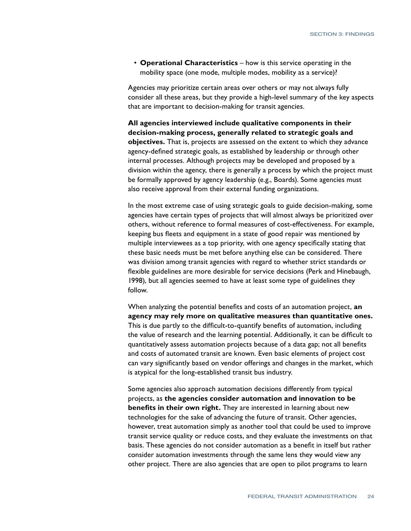• **Operational Characteristics** – how is this service operating in the mobility space (one mode, multiple modes, mobility as a service)?

Agencies may prioritize certain areas over others or may not always fully consider all these areas, but they provide a high-level summary of the key aspects that are important to decision-making for transit agencies.

**All agencies interviewed include qualitative components in their decision-making process, generally related to strategic goals and objectives.** That is, projects are assessed on the extent to which they advance agency-defined strategic goals, as established by leadership or through other internal processes. Although projects may be developed and proposed by a division within the agency, there is generally a process by which the project must be formally approved by agency leadership (e.g., Boards). Some agencies must also receive approval from their external funding organizations.

In the most extreme case of using strategic goals to guide decision-making, some agencies have certain types of projects that will almost always be prioritized over others, without reference to formal measures of cost-effectiveness. For example, keeping bus fleets and equipment in a state of good repair was mentioned by multiple interviewees as a top priority, with one agency specifically stating that these basic needs must be met before anything else can be considered. There was division among transit agencies with regard to whether strict standards or flexible guidelines are more desirable for service decisions (Perk and Hinebaugh, 1998), but all agencies seemed to have at least some type of guidelines they follow.

When analyzing the potential benefits and costs of an automation project, **an agency may rely more on qualitative measures than quantitative ones.**  This is due partly to the difficult-to-quantify benefits of automation, including the value of research and the learning potential. Additionally, it can be difficult to quantitatively assess automation projects because of a data gap; not all benefits and costs of automated transit are known. Even basic elements of project cost can vary significantly based on vendor offerings and changes in the market, which is atypical for the long-established transit bus industry.

Some agencies also approach automation decisions differently from typical projects, as **the agencies consider automation and innovation to be benefits in their own right.** They are interested in learning about new technologies for the sake of advancing the future of transit. Other agencies, however, treat automation simply as another tool that could be used to improve transit service quality or reduce costs, and they evaluate the investments on that basis. These agencies do not consider automation as a benefit in itself but rather consider automation investments through the same lens they would view any other project. There are also agencies that are open to pilot programs to learn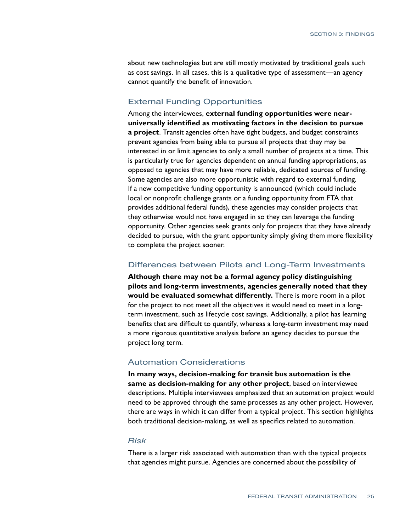about new technologies but are still mostly motivated by traditional goals such as cost savings. In all cases, this is a qualitative type of assessment—an agency cannot quantify the benefit of innovation.

#### External Funding Opportunities

Among the interviewees, **external funding opportunities were nearuniversally identified as motivating factors in the decision to pursue a project**. Transit agencies often have tight budgets, and budget constraints prevent agencies from being able to pursue all projects that they may be interested in or limit agencies to only a small number of projects at a time. This is particularly true for agencies dependent on annual funding appropriations, as opposed to agencies that may have more reliable, dedicated sources of funding. Some agencies are also more opportunistic with regard to external funding. If a new competitive funding opportunity is announced (which could include local or nonprofit challenge grants or a funding opportunity from FTA that provides additional federal funds), these agencies may consider projects that they otherwise would not have engaged in so they can leverage the funding opportunity. Other agencies seek grants only for projects that they have already decided to pursue, with the grant opportunity simply giving them more flexibility to complete the project sooner.

#### Differences between Pilots and Long-Term Investments

**Although there may not be a formal agency policy distinguishing pilots and long-term investments, agencies generally noted that they would be evaluated somewhat differently.** There is more room in a pilot for the project to not meet all the objectives it would need to meet in a longterm investment, such as lifecycle cost savings. Additionally, a pilot has learning benefits that are difficult to quantify, whereas a long-term investment may need a more rigorous quantitative analysis before an agency decides to pursue the project long term.

#### Automation Considerations

**In many ways, decision-making for transit bus automation is the same as decision-making for any other project**, based on interviewee descriptions. Multiple interviewees emphasized that an automation project would need to be approved through the same processes as any other project. However, there are ways in which it can differ from a typical project. This section highlights both traditional decision-making, as well as specifics related to automation.

#### *Risk*

There is a larger risk associated with automation than with the typical projects that agencies might pursue. Agencies are concerned about the possibility of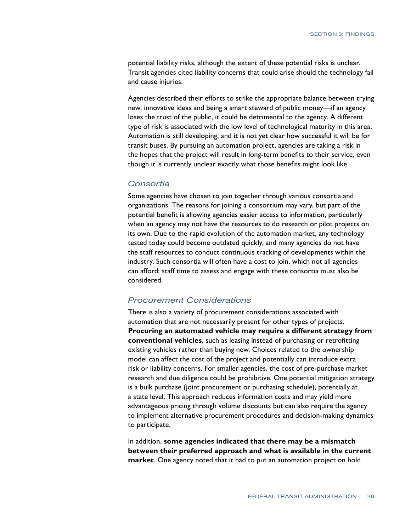potential liability risks, although the extent of these potential risks is unclear. Transit agencies cited liability concerns that could arise should the technology fail and cause injuries.

Agencies described their efforts to strike the appropriate balance between trying new, innovative ideas and being a smart steward of public money—if an agency loses the trust of the public, it could be detrimental to the agency. A different type of risk is associated with the low level of technological maturity in this area. Automation is still developing, and it is not yet clear how successful it will be for transit buses. By pursuing an automation project, agencies are taking a risk in the hopes that the project will result in long-term benefits to their service, even though it is currently unclear exactly what those benefits might look like.

#### *Consortia*

Some agencies have chosen to join together through various consortia and organizations. The reasons for joining a consortium may vary, but part of the potential benefit is allowing agencies easier access to information, particularly when an agency may not have the resources to do research or pilot projects on its own. Due to the rapid evolution of the automation market, any technology tested today could become outdated quickly, and many agencies do not have the staff resources to conduct continuous tracking of developments within the industry. Such consortia will often have a cost to join, which not all agencies can afford; staff time to assess and engage with these consortia must also be considered.

#### *Procurement Considerations*

There is also a variety of procurement considerations associated with automation that are not necessarily present for other types of projects. **Procuring an automated vehicle may require a different strategy from conventional vehicles**, such as leasing instead of purchasing or retrofitting existing vehicles rather than buying new. Choices related to the ownership model can affect the cost of the project and potentially can introduce extra risk or liability concerns. For smaller agencies, the cost of pre-purchase market research and due diligence could be prohibitive. One potential mitigation strategy is a bulk purchase (joint procurement or purchasing schedule), potentially at a state level. This approach reduces information costs and may yield more advantageous pricing through volume discounts but can also require the agency to implement alternative procurement procedures and decision-making dynamics to participate.

In addition, **some agencies indicated that there may be a mismatch between their preferred approach and what is available in the current market**. One agency noted that it had to put an automation project on hold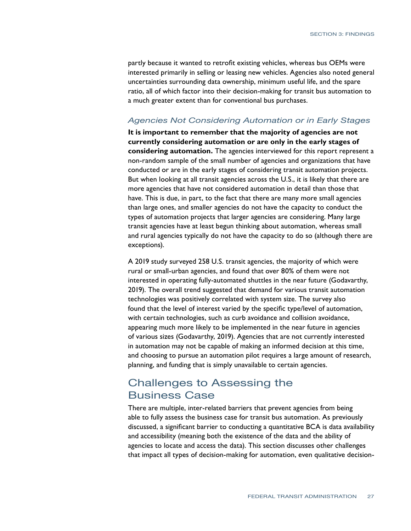partly because it wanted to retrofit existing vehicles, whereas bus OEMs were interested primarily in selling or leasing new vehicles. Agencies also noted general uncertainties surrounding data ownership, minimum useful life, and the spare ratio, all of which factor into their decision-making for transit bus automation to a much greater extent than for conventional bus purchases.

#### *Agencies Not Considering Automation or in Early Stages*

**It is important to remember that the majority of agencies are not currently considering automation or are only in the early stages of considering automation.** The agencies interviewed for this report represent a non-random sample of the small number of agencies and organizations that have conducted or are in the early stages of considering transit automation projects. But when looking at all transit agencies across the U.S., it is likely that there are more agencies that have not considered automation in detail than those that have. This is due, in part, to the fact that there are many more small agencies than large ones, and smaller agencies do not have the capacity to conduct the types of automation projects that larger agencies are considering. Many large transit agencies have at least begun thinking about automation, whereas small and rural agencies typically do not have the capacity to do so (although there are exceptions).

A 2019 study surveyed 258 U.S. transit agencies, the majority of which were rural or small-urban agencies, and found that over 80% of them were not interested in operating fully-automated shuttles in the near future (Godavarthy, 2019). The overall trend suggested that demand for various transit automation technologies was positively correlated with system size. The survey also found that the level of interest varied by the specific type/level of automation, with certain technologies, such as curb avoidance and collision avoidance, appearing much more likely to be implemented in the near future in agencies of various sizes (Godavarthy, 2019). Agencies that are not currently interested in automation may not be capable of making an informed decision at this time, and choosing to pursue an automation pilot requires a large amount of research, planning, and funding that is simply unavailable to certain agencies.

#### Challenges to Assessing the Business Case

There are multiple, inter-related barriers that prevent agencies from being able to fully assess the business case for transit bus automation. As previously discussed, a significant barrier to conducting a quantitative BCA is data availability and accessibility (meaning both the existence of the data and the ability of agencies to locate and access the data). This section discusses other challenges that impact all types of decision-making for automation, even qualitative decision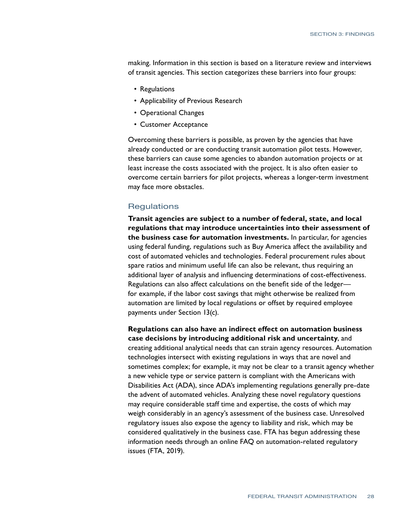making. Information in this section is based on a literature review and interviews of transit agencies. This section categorizes these barriers into four groups:

- Regulations
- Applicability of Previous Research
- Operational Changes
- Customer Acceptance

Overcoming these barriers is possible, as proven by the agencies that have already conducted or are conducting transit automation pilot tests. However, these barriers can cause some agencies to abandon automation projects or at least increase the costs associated with the project. It is also often easier to overcome certain barriers for pilot projects, whereas a longer-term investment may face more obstacles.

#### **Regulations**

**Transit agencies are subject to a number of federal, state, and local regulations that may introduce uncertainties into their assessment of the business case for automation investments.** In particular, for agencies using federal funding, regulations such as Buy America affect the availability and cost of automated vehicles and technologies. Federal procurement rules about spare ratios and minimum useful life can also be relevant, thus requiring an additional layer of analysis and influencing determinations of cost-effectiveness. Regulations can also affect calculations on the benefit side of the ledger for example, if the labor cost savings that might otherwise be realized from automation are limited by local regulations or offset by required employee payments under Section 13(c).

**Regulations can also have an indirect effect on automation business case decisions by introducing additional risk and uncertainty**, and creating additional analytical needs that can strain agency resources. Automation technologies intersect with existing regulations in ways that are novel and sometimes complex; for example, it may not be clear to a transit agency whether a new vehicle type or service pattern is compliant with the Americans with Disabilities Act (ADA), since ADA's implementing regulations generally pre-date the advent of automated vehicles. Analyzing these novel regulatory questions may require considerable staff time and expertise, the costs of which may weigh considerably in an agency's assessment of the business case. Unresolved regulatory issues also expose the agency to liability and risk, which may be considered qualitatively in the business case. FTA has begun addressing these information needs through an online FAQ on automation-related regulatory issues (FTA, 2019).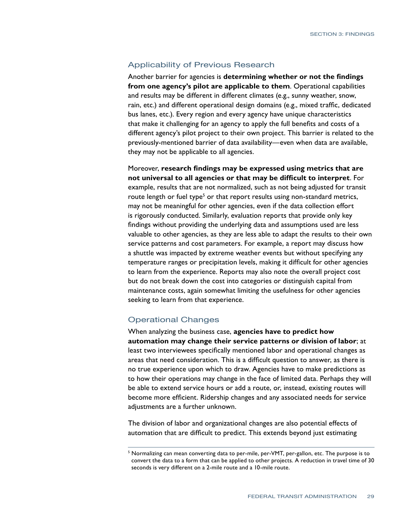#### Applicability of Previous Research

Another barrier for agencies is **determining whether or not the findings from one agency's pilot are applicable to them**. Operational capabilities and results may be different in different climates (e.g., sunny weather, snow, rain, etc.) and different operational design domains (e.g., mixed traffic, dedicated bus lanes, etc.). Every region and every agency have unique characteristics that make it challenging for an agency to apply the full benefits and costs of a different agency's pilot project to their own project. This barrier is related to the previously-mentioned barrier of data availability—even when data are available, they may not be applicable to all agencies.

Moreover, **research findings may be expressed using metrics that are not universal to all agencies or that may be difficult to interpret**. For example, results that are not normalized, such as not being adjusted for transit route length or fuel type<sup>5</sup> or that report results using non-standard metrics, may not be meaningful for other agencies, even if the data collection effort is rigorously conducted. Similarly, evaluation reports that provide only key findings without providing the underlying data and assumptions used are less valuable to other agencies, as they are less able to adapt the results to their own service patterns and cost parameters. For example, a report may discuss how a shuttle was impacted by extreme weather events but without specifying any temperature ranges or precipitation levels, making it difficult for other agencies to learn from the experience. Reports may also note the overall project cost but do not break down the cost into categories or distinguish capital from maintenance costs, again somewhat limiting the usefulness for other agencies seeking to learn from that experience.

#### Operational Changes

When analyzing the business case, **agencies have to predict how automation may change their service patterns or division of labor**; at least two interviewees specifically mentioned labor and operational changes as areas that need consideration. This is a difficult question to answer, as there is no true experience upon which to draw. Agencies have to make predictions as to how their operations may change in the face of limited data. Perhaps they will be able to extend service hours or add a route, or, instead, existing routes will become more efficient. Ridership changes and any associated needs for service adjustments are a further unknown.

The division of labor and organizational changes are also potential effects of automation that are difficult to predict. This extends beyond just estimating

 $^5$  Normalizing can mean converting data to per-mile, per-VMT, per-gallon, etc. The purpose is to convert the data to a form that can be applied to other projects. A reduction in travel time of 30 seconds is very different on a 2-mile route and a 10-mile route.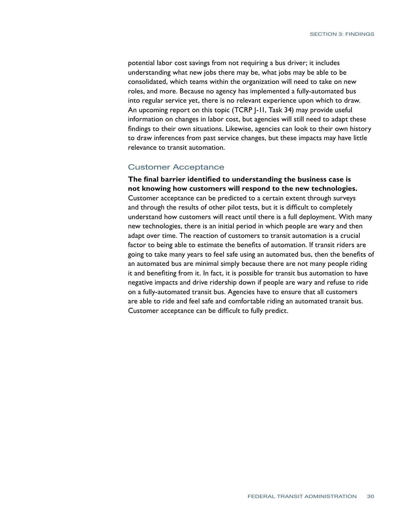potential labor cost savings from not requiring a bus driver; it includes understanding what new jobs there may be, what jobs may be able to be consolidated, which teams within the organization will need to take on new roles, and more. Because no agency has implemented a fully-automated bus into regular service yet, there is no relevant experience upon which to draw. An upcoming report on this topic (TCRP J-11, Task 34) may provide useful information on changes in labor cost, but agencies will still need to adapt these findings to their own situations. Likewise, agencies can look to their own history to draw inferences from past service changes, but these impacts may have little relevance to transit automation.

#### Customer Acceptance

**The final barrier identified to understanding the business case is not knowing how customers will respond to the new technologies.** Customer acceptance can be predicted to a certain extent through surveys and through the results of other pilot tests, but it is difficult to completely understand how customers will react until there is a full deployment. With many new technologies, there is an initial period in which people are wary and then adapt over time. The reaction of customers to transit automation is a crucial factor to being able to estimate the benefits of automation. If transit riders are going to take many years to feel safe using an automated bus, then the benefits of an automated bus are minimal simply because there are not many people riding it and benefiting from it. In fact, it is possible for transit bus automation to have negative impacts and drive ridership down if people are wary and refuse to ride on a fully-automated transit bus. Agencies have to ensure that all customers are able to ride and feel safe and comfortable riding an automated transit bus. Customer acceptance can be difficult to fully predict.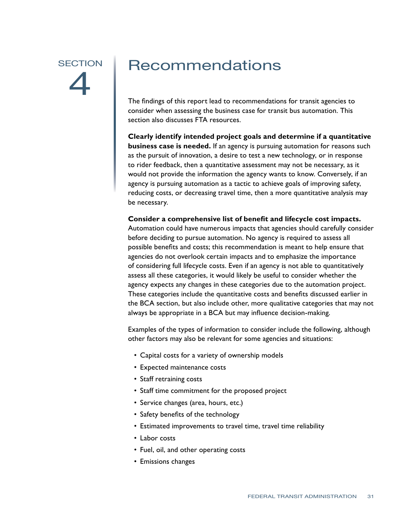# <span id="page-37-0"></span>**SECTION** 4

## Recommendations

The findings of this report lead to recommendations for transit agencies to consider when assessing the business case for transit bus automation. This section also discusses FTA resources.

**Clearly identify intended project goals and determine if a quantitative business case is needed.** If an agency is pursuing automation for reasons such as the pursuit of innovation, a desire to test a new technology, or in response to rider feedback, then a quantitative assessment may not be necessary, as it would not provide the information the agency wants to know. Conversely, if an agency is pursuing automation as a tactic to achieve goals of improving safety, reducing costs, or decreasing travel time, then a more quantitative analysis may be necessary.

**Consider a comprehensive list of benefit and lifecycle cost impacts.**  Automation could have numerous impacts that agencies should carefully consider before deciding to pursue automation. No agency is required to assess all possible benefits and costs; this recommendation is meant to help ensure that agencies do not overlook certain impacts and to emphasize the importance of considering full lifecycle costs. Even if an agency is not able to quantitatively assess all these categories, it would likely be useful to consider whether the agency expects any changes in these categories due to the automation project. These categories include the quantitative costs and benefits discussed earlier in the BCA section, but also include other, more qualitative categories that may not always be appropriate in a BCA but may influence decision-making.

Examples of the types of information to consider include the following, although other factors may also be relevant for some agencies and situations:

- Capital costs for a variety of ownership models
- Expected maintenance costs
- Staff retraining costs
- Staff time commitment for the proposed project
- Service changes (area, hours, etc.)
- Safety benefits of the technology
- Estimated improvements to travel time, travel time reliability
- Labor costs
- Fuel, oil, and other operating costs
- Emissions changes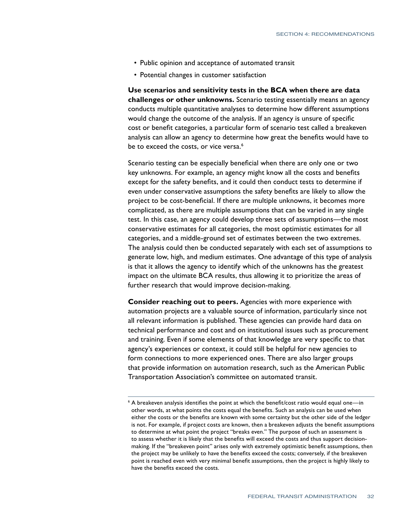- Public opinion and acceptance of automated transit
- Potential changes in customer satisfaction

**Use scenarios and sensitivity tests in the BCA when there are data challenges or other unknowns.** Scenario testing essentially means an agency conducts multiple quantitative analyses to determine how different assumptions would change the outcome of the analysis. If an agency is unsure of specific cost or benefit categories, a particular form of scenario test called a breakeven analysis can allow an agency to determine how great the benefits would have to be to exceed the costs, or vice versa.<sup>6</sup>

Scenario testing can be especially beneficial when there are only one or two key unknowns. For example, an agency might know all the costs and benefits except for the safety benefits, and it could then conduct tests to determine if even under conservative assumptions the safety benefits are likely to allow the project to be cost-beneficial. If there are multiple unknowns, it becomes more complicated, as there are multiple assumptions that can be varied in any single test. In this case, an agency could develop three sets of assumptions—the most conservative estimates for all categories, the most optimistic estimates for all categories, and a middle-ground set of estimates between the two extremes. The analysis could then be conducted separately with each set of assumptions to generate low, high, and medium estimates. One advantage of this type of analysis is that it allows the agency to identify which of the unknowns has the greatest impact on the ultimate BCA results, thus allowing it to prioritize the areas of further research that would improve decision-making.

**Consider reaching out to peers.** Agencies with more experience with automation projects are a valuable source of information, particularly since not all relevant information is published. These agencies can provide hard data on technical performance and cost and on institutional issues such as procurement and training. Even if some elements of that knowledge are very specific to that agency's experiences or context, it could still be helpful for new agencies to form connections to more experienced ones. There are also larger groups that provide information on automation research, such as the American Public Transportation Association's committee on automated transit.

 $^6$  A breakeven analysis identifies the point at which the benefit/cost ratio would equal one—in  $^6$ other words, at what points the costs equal the benefits. Such an analysis can be used when either the costs or the benefits are known with some certainty but the other side of the ledger is not. For example, if project costs are known, then a breakeven adjusts the benefit assumptions to determine at what point the project "breaks even." The purpose of such an assessment is to assess whether it is likely that the benefits will exceed the costs and thus support decisionmaking. If the "breakeven point" arises only with extremely optimistic benefit assumptions, then the project may be unlikely to have the benefits exceed the costs; conversely, if the breakeven point is reached even with very minimal benefit assumptions, then the project is highly likely to have the benefits exceed the costs.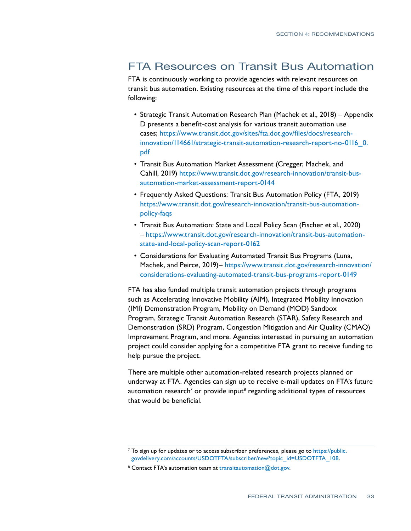#### FTA Resources on Transit Bus Automation

FTA is continuously working to provide agencies with relevant resources on transit bus automation. Existing resources at the time of this report include the following:

- Strategic Transit Automation Research Plan (Machek et al., 2018) Appendix D presents a benefit-cost analysis for various transit automation use cases; [https://www.transit.dot.gov/sites/fta.dot.gov/files/docs/research](https://www.transit.dot.gov/sites/fta.dot.gov/files/docs/research-innovation/114661/strategic-transit-automation-research-report-no-0116_0.pdf)[innovation/114661/strategic-transit-automation-research-report-no-0116\\_0.](https://www.transit.dot.gov/sites/fta.dot.gov/files/docs/research-innovation/114661/strategic-transit-automation-research-report-no-0116_0.pdf) [pdf](https://www.transit.dot.gov/sites/fta.dot.gov/files/docs/research-innovation/114661/strategic-transit-automation-research-report-no-0116_0.pdf)
- Transit Bus Automation Market Assessment (Cregger, Machek, and Cahill, 2019) [https://www.transit.dot.gov/research-innovation/transit-bus](https://www.transit.dot.gov/research-innovation/transit-bus-automation-market-assessment-report-0144)[automation-market-assessment-report-0144](https://www.transit.dot.gov/research-innovation/transit-bus-automation-market-assessment-report-0144)
- Frequently Asked Questions: Transit Bus Automation Policy (FTA, 2019) [https://www.transit.dot.gov/research-innovation/transit-bus-automation](https://www.transit.dot.gov/research-innovation/transit-bus-automation-policy-faqs)[policy-faqs](https://www.transit.dot.gov/research-innovation/transit-bus-automation-policy-faqs)
- Transit Bus Automation: State and Local Policy Scan (Fischer et al., 2020) – [https://www.transit.dot.gov/research-innovation/transit-bus-automation](https://www.transit.dot.gov/research-innovation/transit-bus-automation-state-and-local-policy-scan-report-0162)[state-and-local-policy-scan-report-0162](https://www.transit.dot.gov/research-innovation/transit-bus-automation-state-and-local-policy-scan-report-0162)
- Considerations for Evaluating Automated Transit Bus Programs (Luna, Machek, and Peirce, 2019)– [https://www.transit.dot.gov/research-innovation/](https://www.transit.dot.gov/research-innovation/considerations-evaluating-automated-transit-bus-programs-report-0149) [considerations-evaluating-automated-transit-bus-programs-report-0149](https://www.transit.dot.gov/research-innovation/considerations-evaluating-automated-transit-bus-programs-report-0149)

FTA has also funded multiple transit automation projects through programs such as Accelerating Innovative Mobility (AIM), Integrated Mobility Innovation (IMI) Demonstration Program, Mobility on Demand (MOD) Sandbox Program, Strategic Transit Automation Research (STAR), Safety Research and Demonstration (SRD) Program, Congestion Mitigation and Air Quality (CMAQ) Improvement Program, and more. Agencies interested in pursuing an automation project could consider applying for a competitive FTA grant to receive funding to help pursue the project.

There are multiple other automation-related research projects planned or underway at FTA. Agencies can sign up to receive e-mail updates on FTA's future automation research<sup>7</sup> or provide input $^{\text{\tiny 8}}$  regarding additional types of resources that would be beneficial.

 $^7$  To sign up for updates or to access subscriber preferences, please go to [https://public.](https://public.govdelivery.com/accounts/USDOTFTA/subscriber/new?topic_id=USDOTFTA_108) [govdelivery.com/accounts/USDOTFTA/subscriber/new?topic\\_id=USDOTFTA\\_108](https://public.govdelivery.com/accounts/USDOTFTA/subscriber/new?topic_id=USDOTFTA_108).

<sup>&</sup>lt;sup>8</sup> Contact FTA's automation team at [transitautomation@dot.gov](mailto:transitautomation@dot.gov).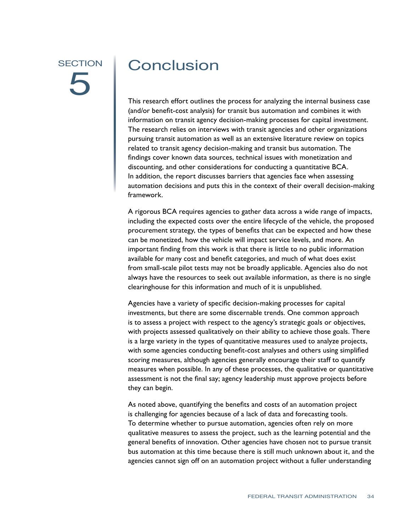## <span id="page-40-0"></span>**SECTION** 5

### **Conclusion**

This research effort outlines the process for analyzing the internal business case (and/or benefit-cost analysis) for transit bus automation and combines it with information on transit agency decision-making processes for capital investment. The research relies on interviews with transit agencies and other organizations pursuing transit automation as well as an extensive literature review on topics related to transit agency decision-making and transit bus automation. The findings cover known data sources, technical issues with monetization and discounting, and other considerations for conducting a quantitative BCA. In addition, the report discusses barriers that agencies face when assessing automation decisions and puts this in the context of their overall decision-making framework.

A rigorous BCA requires agencies to gather data across a wide range of impacts, including the expected costs over the entire lifecycle of the vehicle, the proposed procurement strategy, the types of benefits that can be expected and how these can be monetized, how the vehicle will impact service levels, and more. An important finding from this work is that there is little to no public information available for many cost and benefit categories, and much of what does exist from small-scale pilot tests may not be broadly applicable. Agencies also do not always have the resources to seek out available information, as there is no single clearinghouse for this information and much of it is unpublished.

Agencies have a variety of specific decision-making processes for capital investments, but there are some discernable trends. One common approach is to assess a project with respect to the agency's strategic goals or objectives, with projects assessed qualitatively on their ability to achieve those goals. There is a large variety in the types of quantitative measures used to analyze projects, with some agencies conducting benefit-cost analyses and others using simplified scoring measures, although agencies generally encourage their staff to quantify measures when possible. In any of these processes, the qualitative or quantitative assessment is not the final say; agency leadership must approve projects before they can begin.

As noted above, quantifying the benefits and costs of an automation project is challenging for agencies because of a lack of data and forecasting tools. To determine whether to pursue automation, agencies often rely on more qualitative measures to assess the project, such as the learning potential and the general benefits of innovation. Other agencies have chosen not to pursue transit bus automation at this time because there is still much unknown about it, and the agencies cannot sign off on an automation project without a fuller understanding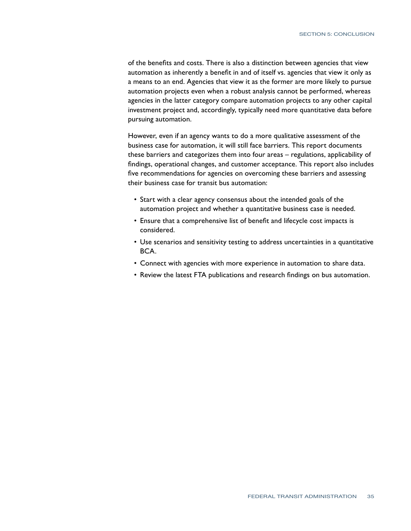of the benefits and costs. There is also a distinction between agencies that view automation as inherently a benefit in and of itself vs. agencies that view it only as a means to an end. Agencies that view it as the former are more likely to pursue automation projects even when a robust analysis cannot be performed, whereas agencies in the latter category compare automation projects to any other capital investment project and, accordingly, typically need more quantitative data before pursuing automation.

However, even if an agency wants to do a more qualitative assessment of the business case for automation, it will still face barriers. This report documents these barriers and categorizes them into four areas – regulations, applicability of findings, operational changes, and customer acceptance. This report also includes five recommendations for agencies on overcoming these barriers and assessing their business case for transit bus automation:

- Start with a clear agency consensus about the intended goals of the automation project and whether a quantitative business case is needed.
- Ensure that a comprehensive list of benefit and lifecycle cost impacts is considered.
- Use scenarios and sensitivity testing to address uncertainties in a quantitative BCA.
- Connect with agencies with more experience in automation to share data.
- Review the latest FTA publications and research findings on bus automation.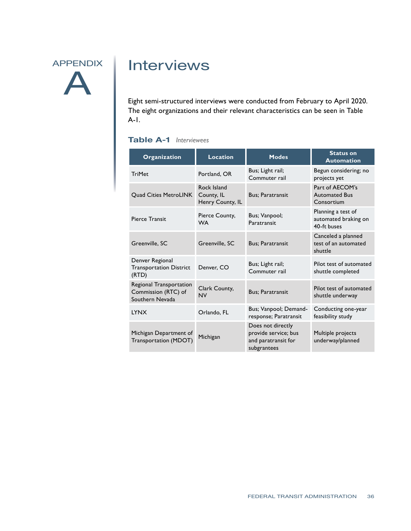## <span id="page-42-0"></span>APPENDIX A

### Interviews

Eight semi-structured interviews were conducted from February to April 2020. The eight organizations and their relevant characteristics can be seen in Table A-1.

#### **Table A-1** *Interviewees*

| Organization                                                      | <b>Location</b>                               | <b>Modes</b>                                                                    | <b>Status on</b><br><b>Automation</b>                     |
|-------------------------------------------------------------------|-----------------------------------------------|---------------------------------------------------------------------------------|-----------------------------------------------------------|
| <b>TriMet</b>                                                     | Portland, OR                                  | Bus; Light rail;<br>Commuter rail                                               | Begun considering; no<br>projects yet                     |
| <b>Ouad Cities MetroLINK</b>                                      | Rock Island<br>County, IL<br>Henry County, IL | <b>Bus: Paratransit</b>                                                         | Part of AECOM's<br><b>Automated Bus</b><br>Consortium     |
| Pierce Transit                                                    | Pierce County,<br><b>WA</b>                   | Bus; Vanpool;<br>Paratransit                                                    | Planning a test of<br>automated braking on<br>40-ft buses |
| Greenville, SC                                                    | Greenville, SC                                | <b>Bus: Paratransit</b>                                                         | Canceled a planned<br>test of an automated<br>shuttle     |
| Denver Regional<br><b>Transportation District</b><br>(RTD)        | Denver, CO                                    | Bus; Light rail;<br>Commuter rail                                               | Pilot test of automated<br>shuttle completed              |
| Regional Transportation<br>Commission (RTC) of<br>Southern Nevada | Clark County,<br><b>NV</b>                    | <b>Bus: Paratransit</b>                                                         | Pilot test of automated<br>shuttle underway               |
| <b>LYNX</b>                                                       | Orlando, FL                                   | Bus; Vanpool; Demand-<br>response; Paratransit                                  | Conducting one-year<br>feasibility study                  |
| Michigan Department of<br><b>Transportation (MDOT)</b>            | Michigan                                      | Does not directly<br>provide service; bus<br>and paratransit for<br>subgrantees | Multiple projects<br>underway/planned                     |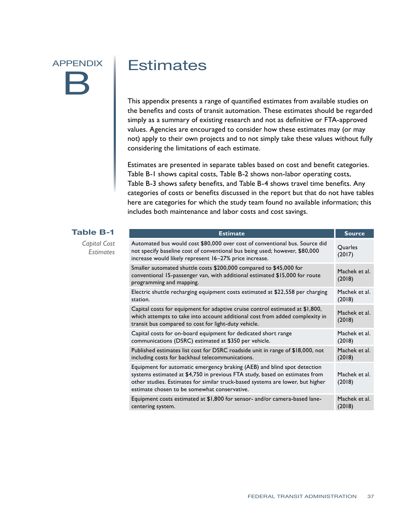## <span id="page-43-0"></span>APPENDIX B

### **Estimates**

This appendix presents a range of quantified estimates from available studies on the benefits and costs of transit automation. These estimates should be regarded simply as a summary of existing research and not as definitive or FTA-approved values. Agencies are encouraged to consider how these estimates may (or may not) apply to their own projects and to not simply take these values without fully considering the limitations of each estimate.

Estimates are presented in separate tables based on cost and benefit categories. Table B-1 shows capital costs, Table B-2 shows non-labor operating costs, Table B-3 shows safety benefits, and Table B-4 shows travel time benefits. Any categories of costs or benefits discussed in the report but that do not have tables here are categories for which the study team found no available information; this includes both maintenance and labor costs and cost savings.

| <b>Table B-1</b>                 | <b>Estimate</b>                                                                                                                                                                                                                                                                           | <b>Source</b>           |
|----------------------------------|-------------------------------------------------------------------------------------------------------------------------------------------------------------------------------------------------------------------------------------------------------------------------------------------|-------------------------|
| Capital Cost<br><b>Estimates</b> | Automated bus would cost \$80,000 over cost of conventional bus. Source did<br>not specify baseline cost of conventional bus being used; however, \$80,000<br>increase would likely represent 16-27% price increase.                                                                      | Quarles<br>(2017)       |
|                                  | Smaller automated shuttle costs \$200,000 compared to \$45,000 for<br>conventional 15-passenger van, with additional estimated \$15,000 for route<br>programming and mapping.                                                                                                             | Machek et al.<br>(2018) |
|                                  | Electric shuttle recharging equipment costs estimated at \$22,558 per charging<br>station.                                                                                                                                                                                                | Machek et al.<br>(2018) |
|                                  | Capital costs for equipment for adaptive cruise control estimated at \$1,800,<br>which attempts to take into account additional cost from added complexity in<br>transit bus compared to cost for light-duty vehicle.                                                                     | Machek et al.<br>(2018) |
|                                  | Capital costs for on-board equipment for dedicated short range<br>communications (DSRC) estimated at \$350 per vehicle.                                                                                                                                                                   | Machek et al.<br>(2018) |
|                                  | Published estimates list cost for DSRC roadside unit in range of \$18,000, not<br>including costs for backhaul telecommunications.                                                                                                                                                        | Machek et al.<br>(2018) |
|                                  | Equipment for automatic emergency braking (AEB) and blind spot detection<br>systems estimated at \$4,750 in previous FTA study, based on estimates from<br>other studies. Estimates for similar truck-based systems are lower, but higher<br>estimate chosen to be somewhat conservative. | Machek et al.<br>(2018) |
|                                  | Equipment costs estimated at \$1,800 for sensor- and/or camera-based lane-<br>centering system.                                                                                                                                                                                           | Machek et al.<br>(2018) |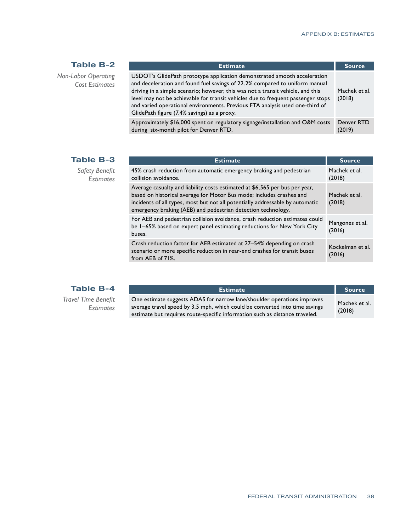#### **Table B-2**

<span id="page-44-0"></span>*Non-Labor Operating Cost Estimates*

| <b>Estimate</b>                                                                                                                                                                                                                                                                                                                                                                                                                                               | <b>Source</b>           |
|---------------------------------------------------------------------------------------------------------------------------------------------------------------------------------------------------------------------------------------------------------------------------------------------------------------------------------------------------------------------------------------------------------------------------------------------------------------|-------------------------|
| USDOT's GlidePath prototype application demonstrated smooth acceleration<br>and deceleration and found fuel savings of 22.2% compared to uniform manual<br>driving in a simple scenario; however, this was not a transit vehicle, and this<br>level may not be achievable for transit vehicles due to frequent passenger stops<br>and varied operational environments. Previous FTA analysis used one-third of<br>GlidePath figure (7.4% savings) as a proxy. | Machek et al.<br>(2018) |
| Approximately \$16,000 spent on regulatory signage/installation and O&M costs<br>during six-month pilot for Denver RTD.                                                                                                                                                                                                                                                                                                                                       | Denver RTD<br>(2019)    |

#### **Table B-3**

*Safety Benefit Estimates*

| <b>Estimate</b>                                                                                                                                                                                                                                                                                      | <b>Source</b>              |
|------------------------------------------------------------------------------------------------------------------------------------------------------------------------------------------------------------------------------------------------------------------------------------------------------|----------------------------|
| 45% crash reduction from automatic emergency braking and pedestrian<br>collision avoidance.                                                                                                                                                                                                          | Machek et al.<br>(2018)    |
| Average casualty and liability costs estimated at \$6,565 per bus per year,<br>based on historical average for Motor Bus mode; includes crashes and<br>incidents of all types, most but not all potentially addressable by automatic<br>emergency braking (AEB) and pedestrian detection technology. | Machek et al.<br>(2018)    |
| For AEB and pedestrian collision avoidance, crash reduction estimates could<br>be 1–65% based on expert panel estimating reductions for New York City<br>buses.                                                                                                                                      | Mangones et al.<br>(2016)  |
| Crash reduction factor for AEB estimated at 27-54% depending on crash<br>scenario or more specific reduction in rear-end crashes for transit buses<br>from AEB of 71%.                                                                                                                               | Kockelman et al.<br>(2016) |

*Travel Time Benefit Estimates*

| <b>Estimate</b>                                                                                                                                                                                                                       | <b>Source</b>           |
|---------------------------------------------------------------------------------------------------------------------------------------------------------------------------------------------------------------------------------------|-------------------------|
| One estimate suggests ADAS for narrow lane/shoulder operations improves<br>average travel speed by 3.5 mph, which could be converted into time savings<br>estimate but requires route-specific information such as distance traveled. | Machek et al.<br>(2018) |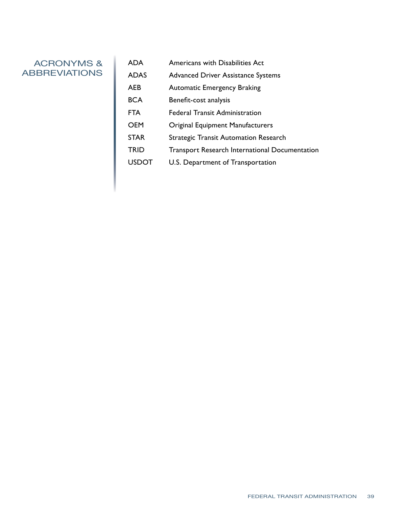#### <span id="page-45-0"></span>ACRONYMS & **ABBREVIATIONS**

ADA Americans with Disabilities Act ADAS Advanced Driver Assistance Systems AEB Automatic Emergency Braking BCA Benefit-cost analysis FTA Federal Transit Administration OEM Original Equipment Manufacturers STAR Strategic Transit Automation Research TRID Transport Research International Documentation USDOT U.S. Department of Transportation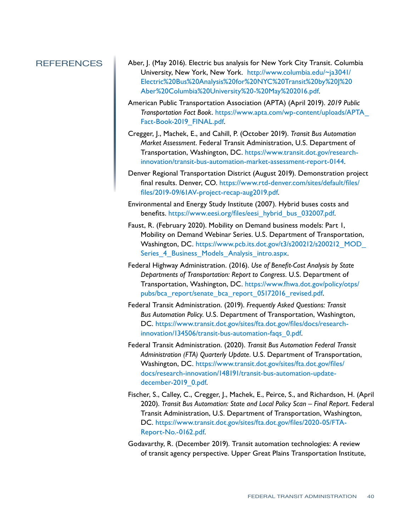- <span id="page-46-0"></span>REFERENCES Aber, J. (May 2016). Electric bus analysis for New York City Transit. Columbia University, New York, New York. [http://www.columbia.edu/~ja3041/](http://www.columbia.edu/~ja3041/Electric%20Bus%20Analysis%20for%20NYC%20Transit%20by%20J%20Aber%20Columbia%20University%20-%20May%202016.pdf) [Electric%20Bus%20Analysis%20for%20NYC%20Transit%20by%20J%20](http://www.columbia.edu/~ja3041/Electric%20Bus%20Analysis%20for%20NYC%20Transit%20by%20J%20Aber%20Columbia%20University%20-%20May%202016.pdf) [Aber%20Columbia%20University%20-%20May%202016.pdf.](http://www.columbia.edu/~ja3041/Electric%20Bus%20Analysis%20for%20NYC%20Transit%20by%20J%20Aber%20Columbia%20University%20-%20May%202016.pdf)
	- American Public Transportation Association (APTA) (April 2019). *2019 Public Transportation Fact Book*. [https://www.apta.com/wp-content/uploads/APTA\\_](https://www.apta.com/wp-content/uploads/APTA_Fact-Book-2019_FINAL.pdf) [Fact-Book-2019\\_FINAL.pdf](https://www.apta.com/wp-content/uploads/APTA_Fact-Book-2019_FINAL.pdf).
	- Cregger, J., Machek, E., and Cahill, P. (October 2019). *Transit Bus Automation Market Assessment*. Federal Transit Administration, U.S. Department of Transportation, Washington, DC. [https://www.transit.dot.gov/research](https://www.transit.dot.gov/research-innovation/transit-bus-automation-market-assessment-report-0144)[innovation/transit-bus-automation-market-assessment-report-0144.](https://www.transit.dot.gov/research-innovation/transit-bus-automation-market-assessment-report-0144)
	- Denver Regional Transportation District (August 2019). Demonstration project final results. Denver, CO. [https://www.rtd-denver.com/sites/default/files/](https://www.rtd-denver.com/sites/default/files/files/2019-09/61AV-project-recap-aug2019.pdf) [files/2019-09/61AV-project-recap-aug2019.pdf](https://www.rtd-denver.com/sites/default/files/files/2019-09/61AV-project-recap-aug2019.pdf).
	- Environmental and Energy Study Institute (2007). Hybrid buses costs and benefits. [https://www.eesi.org/files/eesi\\_hybrid\\_bus\\_032007.pdf](https://www.eesi.org/files/eesi_hybrid_bus_032007.pdf).
	- Faust, R. (February 2020). Mobility on Demand business models: Part 1, Mobility on Demand Webinar Series. U.S. Department of Transportation, Washington, DC. https://www.pcb.its.dot.gov/t3/s200212/s200212\_MOD Series 4 Business Models Analysis intro.aspx.
	- Federal Highway Administration. (2016). *Use of Benefit-Cost Analysis by State Departments of Transportation: Report to Congress*. U.S. Department of Transportation, Washington, DC. [https://www.fhwa.dot.gov/policy/otps/](https://www.fhwa.dot.gov/policy/otps/pubs/bca_report/senate_bca_report_05172016_revised.pdf) [pubs/bca\\_report/senate\\_bca\\_report\\_05172016\\_revised.pdf.](https://www.fhwa.dot.gov/policy/otps/pubs/bca_report/senate_bca_report_05172016_revised.pdf)
	- Federal Transit Administration. (2019). *Frequently Asked Questions: Transit Bus Automation Policy*. U.S. Department of Transportation, Washington, DC. [https://www.transit.dot.gov/sites/fta.dot.gov/files/docs/research](https://www.transit.dot.gov/sites/fta.dot.gov/files/docs/research-innovation/134506/transit-bus-automation-faqs_0.pdf)[innovation/134506/transit-bus-automation-faqs\\_0.pdf.](https://www.transit.dot.gov/sites/fta.dot.gov/files/docs/research-innovation/134506/transit-bus-automation-faqs_0.pdf)
	- Federal Transit Administration. (2020). *Transit Bus Automation Federal Transit Administration (FTA) Quarterly Update*. U.S. Department of Transportation, Washington, DC. [https://www.transit.dot.gov/sites/fta.dot.gov/files/](https://www.transit.dot.gov/sites/fta.dot.gov/files/docs/research-innovation/148191/transit-bus-automation-update-december-2019_0.pdf) [docs/research-innovation/148191/transit-bus-automation-update](https://www.transit.dot.gov/sites/fta.dot.gov/files/docs/research-innovation/148191/transit-bus-automation-update-december-2019_0.pdf)[december-2019\\_0.pdf](https://www.transit.dot.gov/sites/fta.dot.gov/files/docs/research-innovation/148191/transit-bus-automation-update-december-2019_0.pdf).
	- Fischer, S., Calley, C., Cregger, J., Machek, E., Peirce, S., and Richardson, H. (April 2020). *Transit Bus Automation: State and Local Policy Scan – Final Report*. Federal Transit Administration, U.S. Department of Transportation, Washington, DC. [https://www.transit.dot.gov/sites/fta.dot.gov/files/2020-05/FTA-](https://www.transit.dot.gov/sites/fta.dot.gov/files/2020-05/FTA-Report-No.-0162.pdf)[Report-No.-0162.pdf.](https://www.transit.dot.gov/sites/fta.dot.gov/files/2020-05/FTA-Report-No.-0162.pdf)
	- Godavarthy, R. (December 2019). Transit automation technologies: A review of transit agency perspective. Upper Great Plains Transportation Institute,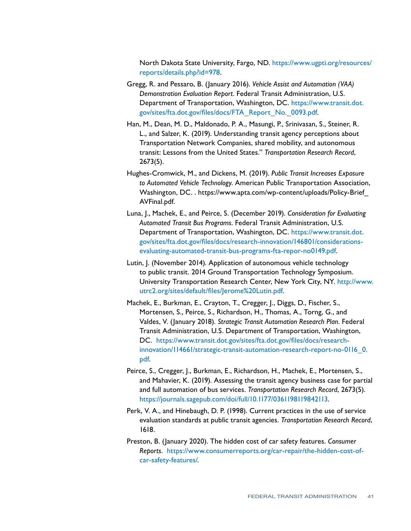North Dakota State University, Fargo, ND. [https://www.ugpti.org/resources/](https://www.ugpti.org/resources/reports/details.php?id=978) [reports/details.php?id=978](https://www.ugpti.org/resources/reports/details.php?id=978).

- Gregg, R. and Pessaro, B. (January 2016). *Vehicle Assist and Automation (VAA) Demonstration Evaluation Report*. Federal Transit Administration, U.S. Department of Transportation, Washington, DC. [https://www.transit.dot.](https://www.transit.dot.gov/sites/fta.dot.gov/files/docs/FTA_Report_No._0093.pdf) [gov/sites/fta.dot.gov/files/docs/FTA\\_Report\\_No.\\_0093.pdf](https://www.transit.dot.gov/sites/fta.dot.gov/files/docs/FTA_Report_No._0093.pdf).
- Han, M., Dean, M. D., Maldonado, P. A., Masungi, P., Srinivasan, S., Steiner, R. L., and Salzer, K. (2019). Understanding transit agency perceptions about Transportation Network Companies, shared mobility, and autonomous transit: Lessons from the United States." *Transportation Research Record*, 2673(5).
- Hughes-Cromwick, M., and Dickens, M. (2019). *Public Transit Increases Exposure to Automated Vehicle Technology*. American Public Transportation Association, Washington, DC. . [https://www.apta.com/wp-content/uploads/Policy-Brief\\_](https://www.apta.com/wp-content/uploads/Policy-Brief_AVFinal.pdf) [AVFinal.pdf.](https://www.apta.com/wp-content/uploads/Policy-Brief_AVFinal.pdf)
- Luna, J., Machek, E., and Peirce, S. (December 2019). *Consideration for Evaluating Automated Transit Bus Programs*. Federal Transit Administration, U.S. Department of Transportation, Washington, DC. [https://www.transit.dot.](https://www.transit.dot.gov/sites/fta.dot.gov/files/docs/research-innovation/146801/considerations-evaluating-automated-transit-bus-programs-fta-repor-no0149.pdf) [gov/sites/fta.dot.gov/files/docs/research-innovation/146801/considerations](https://www.transit.dot.gov/sites/fta.dot.gov/files/docs/research-innovation/146801/considerations-evaluating-automated-transit-bus-programs-fta-repor-no0149.pdf)[evaluating-automated-transit-bus-programs-fta-repor-no0149.pdf.](https://www.transit.dot.gov/sites/fta.dot.gov/files/docs/research-innovation/146801/considerations-evaluating-automated-transit-bus-programs-fta-repor-no0149.pdf)
- Lutin, J. (November 2014). Application of autonomous vehicle technology to public transit. 2014 Ground Transportation Technology Symposium. University Transportation Research Center, New York City, NY. [http://www.](http://www.utrc2.org/sites/default/files/Jerome%20Lutin.pdf) [utrc2.org/sites/default/files/Jerome%20Lutin.pdf](http://www.utrc2.org/sites/default/files/Jerome%20Lutin.pdf).
- Machek, E., Burkman, E., Crayton, T., Cregger, J., Diggs, D., Fischer, S., Mortensen, S., Peirce, S., Richardson, H., Thomas, A., Torng, G., and Valdes, V. (January 2018). *Strategic Transit Automation Research Plan*. Federal Transit Administration, U.S. Department of Transportation, Washington, DC. [https://www.transit.dot.gov/sites/fta.dot.gov/files/docs/research](https://www.transit.dot.gov/sites/fta.dot.gov/files/docs/research-innovation/114661/strategic-transit-automation-research-report-no-0116_0.pdf)[innovation/114661/strategic-transit-automation-research-report-no-0116\\_0.](https://www.transit.dot.gov/sites/fta.dot.gov/files/docs/research-innovation/114661/strategic-transit-automation-research-report-no-0116_0.pdf) [pdf](https://www.transit.dot.gov/sites/fta.dot.gov/files/docs/research-innovation/114661/strategic-transit-automation-research-report-no-0116_0.pdf).
- Peirce, S., Cregger, J., Burkman, E., Richardson, H., Machek, E., Mortensen, S., and Mahavier, K. (2019). Assessing the transit agency business case for partial and full automation of bus services. *Transportation Research Record*, 2673(5). [https://journals.sagepub.com/doi/full/10.1177/0361198119842113.](https://journals.sagepub.com/doi/full/10.1177/0361198119842113)
- Perk, V. A., and Hinebaugh, D. P. (1998). Current practices in the use of service evaluation standards at public transit agencies. *Transportation Research Record*, 1618.
- Preston, B. (January 2020). The hidden cost of car safety features. *Consumer Reports*. [https://www.consumerreports.org/car-repair/the-hidden-cost-of](https://www.consumerreports.org/car-repair/the-hidden-cost-of-car-safety-features/)[car-safety-features/](https://www.consumerreports.org/car-repair/the-hidden-cost-of-car-safety-features/).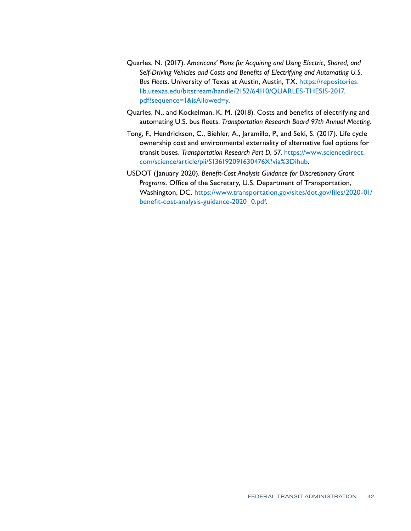- Quarles, N. (2017). *Americans' Plans for Acquiring and Using Electric, Shared, and Self-Driving Vehicles and Costs and Benefits of Electrifying and Automating U.S. Bus Fleets*. University of Texas at Austin, Austin, TX. [https://repositories.](https://repositories.lib.utexas.edu/bitstream/handle/2152/64110/QUARLES-THESIS-2017.pdf?sequence=1&isAllowed=y) [lib.utexas.edu/bitstream/handle/2152/64110/QUARLES-THESIS-2017.](https://repositories.lib.utexas.edu/bitstream/handle/2152/64110/QUARLES-THESIS-2017.pdf?sequence=1&isAllowed=y) [pdf?sequence=1&isAllowed=y](https://repositories.lib.utexas.edu/bitstream/handle/2152/64110/QUARLES-THESIS-2017.pdf?sequence=1&isAllowed=y).
- Quarles, N., and Kockelman, K. M. (2018). Costs and benefits of electrifying and automating U.S. bus fleets. *Transportation Research Board 97th Annual Meeting*.
- Tong, F., Hendrickson, C., Biehler, A., Jaramillo, P., and Seki, S. (2017). Life cycle ownership cost and environmental externality of alternative fuel options for transit buses. *Transportation Research Part D*, 57. [https://www.sciencedirect.](https://www.sciencedirect.com/science/article/pii/S136192091630476X?via%3Dihub) [com/science/article/pii/S136192091630476X?via%3Dihub](https://www.sciencedirect.com/science/article/pii/S136192091630476X?via%3Dihub).
- USDOT (January 2020). *Benefit-Cost Analysis Guidance for Discretionary Grant Programs*. Office of the Secretary, U.S. Department of Transportation, Washington, DC. [https://www.transportation.gov/sites/dot.gov/files/2020-01/](https://www.transportation.gov/sites/dot.gov/files/2020-01/benefit-cost-analysis-guidance-2020_0.pdf) [benefit-cost-analysis-guidance-2020\\_0.pdf](https://www.transportation.gov/sites/dot.gov/files/2020-01/benefit-cost-analysis-guidance-2020_0.pdf).